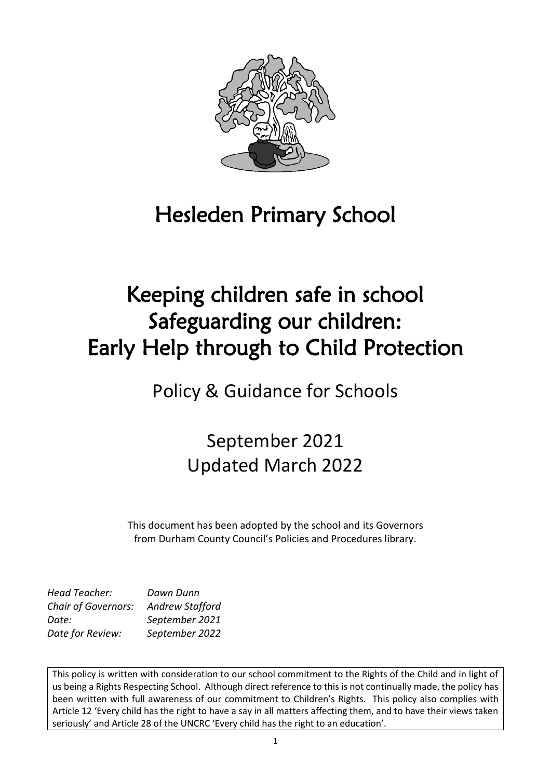

# Hesleden Primary School

# Keeping children safe in school Safeguarding our children: Early Help through to Child Protection

Policy & Guidance for Schools

September 2021 Updated March 2022

This document has been adopted by the school and its Governors from Durham County Council's Policies and Procedures library.

| <b>Head Teacher:</b>       | Dawn Dunn              |
|----------------------------|------------------------|
| <b>Chair of Governors:</b> | <b>Andrew Stafford</b> |
| Date:                      | September 2021         |
| Date for Review:           | September 2022         |

This policy is written with consideration to our school commitment to the Rights of the Child and in light of us being a Rights Respecting School. Although direct reference to this is not continually made, the policy has been written with full awareness of our commitment to Children's Rights. This policy also complies with Article 12 'Every child has the right to have a say in all matters affecting them, and to have their views taken seriously' and Article 28 of the UNCRC 'Every child has the right to an education'.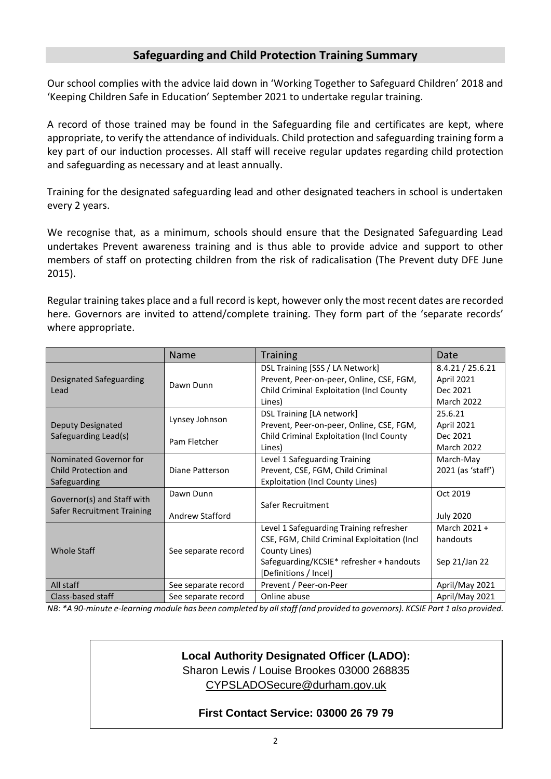# **Safeguarding and Child Protection Training Summary**

Our school complies with the advice laid down in 'Working Together to Safeguard Children' 2018 and 'Keeping Children Safe in Education' September 2021 to undertake regular training.

A record of those trained may be found in the Safeguarding file and certificates are kept, where appropriate, to verify the attendance of individuals. Child protection and safeguarding training form a key part of our induction processes. All staff will receive regular updates regarding child protection and safeguarding as necessary and at least annually.

Training for the designated safeguarding lead and other designated teachers in school is undertaken every 2 years.

We recognise that, as a minimum, schools should ensure that the Designated Safeguarding Lead undertakes Prevent awareness training and is thus able to provide advice and support to other members of staff on protecting children from the risk of radicalisation (The Prevent duty DFE June 2015).

Regular training takes place and a full record is kept, however only the most recent dates are recorded here. Governors are invited to attend/complete training. They form part of the 'separate records' where appropriate.

|                                                                | Name                                | <b>Training</b>                                                                                                                                                               | Date                                                            |
|----------------------------------------------------------------|-------------------------------------|-------------------------------------------------------------------------------------------------------------------------------------------------------------------------------|-----------------------------------------------------------------|
| Designated Safeguarding<br>Lead                                | Dawn Dunn                           | DSL Training [SSS / LA Network]<br>Prevent, Peer-on-peer, Online, CSE, FGM,<br><b>Child Criminal Exploitation (Incl County</b><br>Lines)                                      | 8.4.21 / 25.6.21<br>April 2021<br>Dec 2021<br><b>March 2022</b> |
| Deputy Designated<br>Safeguarding Lead(s)                      | Lynsey Johnson<br>Pam Fletcher      | DSL Training [LA network]<br>Prevent, Peer-on-peer, Online, CSE, FGM,<br><b>Child Criminal Exploitation (Incl County</b><br>Lines)                                            | 25.6.21<br>April 2021<br>Dec 2021<br><b>March 2022</b>          |
| Nominated Governor for<br>Child Protection and<br>Safeguarding | Diane Patterson                     | Level 1 Safeguarding Training<br>Prevent, CSE, FGM, Child Criminal<br><b>Exploitation (Incl County Lines)</b>                                                                 | March-May<br>2021 (as 'staff')                                  |
| Governor(s) and Staff with<br>Safer Recruitment Training       | Dawn Dunn<br><b>Andrew Stafford</b> | Safer Recruitment                                                                                                                                                             | Oct 2019<br><b>July 2020</b>                                    |
| <b>Whole Staff</b>                                             | See separate record                 | Level 1 Safeguarding Training refresher<br>CSE, FGM, Child Criminal Exploitation (Incl.<br>County Lines)<br>Safeguarding/KCSIE* refresher + handouts<br>[Definitions / Incel] | March 2021 +<br>handouts<br>Sep 21/Jan 22                       |
| All staff                                                      | See separate record                 | Prevent / Peer-on-Peer                                                                                                                                                        | April/May 2021                                                  |
| Class-based staff                                              | See separate record                 | Online abuse                                                                                                                                                                  | April/May 2021                                                  |

*NB: \*A 90-minute e-learning module has been completed by all staff (and provided to governors). KCSIE Part 1 also provided.*

# **Local Authority Designated Officer (LADO):**

Sharon Lewis / Louise Brookes 03000 268835 [CYPSLADOSecure@durham.gov.uk](mailto:CYPSLADOSecure@durham.gov.uk)

#### **First Contact Service: 03000 26 79 79**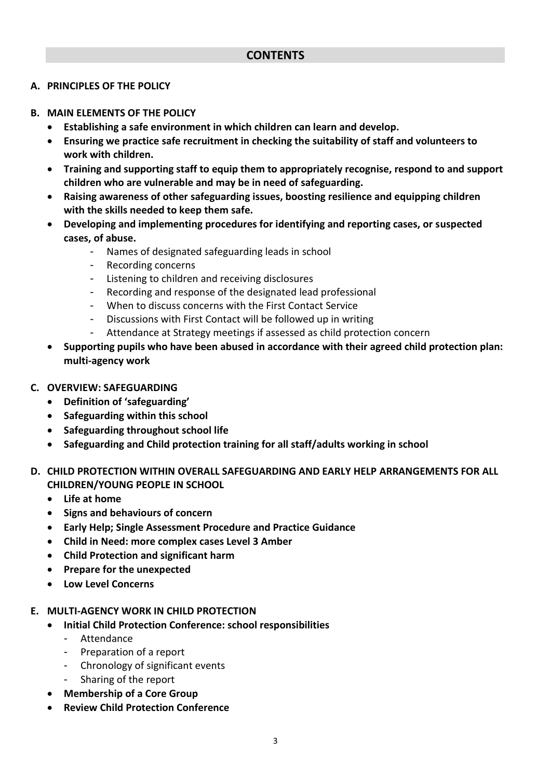#### **A. PRINCIPLES OF THE POLICY**

#### **B. MAIN ELEMENTS OF THE POLICY**

- **Establishing a safe environment in which children can learn and develop.**
- **Ensuring we practice safe recruitment in checking the suitability of staff and volunteers to work with children.**
- **Training and supporting staff to equip them to appropriately recognise, respond to and support children who are vulnerable and may be in need of safeguarding.**
- **Raising awareness of other safeguarding issues, boosting resilience and equipping children with the skills needed to keep them safe.**
- **Developing and implementing procedures for identifying and reporting cases, or suspected cases, of abuse.**
	- Names of designated safeguarding leads in school
	- Recording concerns
	- Listening to children and receiving disclosures
	- Recording and response of the designated lead professional
	- When to discuss concerns with the First Contact Service
	- Discussions with First Contact will be followed up in writing
	- Attendance at Strategy meetings if assessed as child protection concern
- **Supporting pupils who have been abused in accordance with their agreed child protection plan: multi-agency work**
- **C. OVERVIEW: SAFEGUARDING**
	- **Definition of 'safeguarding'**
	- **Safeguarding within this school**
	- **Safeguarding throughout school life**
	- **Safeguarding and Child protection training for all staff/adults working in school**

#### **D. CHILD PROTECTION WITHIN OVERALL SAFEGUARDING AND EARLY HELP ARRANGEMENTS FOR ALL CHILDREN/YOUNG PEOPLE IN SCHOOL**

- **Life at home**
- **Signs and behaviours of concern**
- **Early Help; Single Assessment Procedure and Practice Guidance**
- **Child in Need: more complex cases Level 3 Amber**
- **Child Protection and significant harm**
- **Prepare for the unexpected**
- **Low Level Concerns**

#### **E. MULTI-AGENCY WORK IN CHILD PROTECTION**

- **Initial Child Protection Conference: school responsibilities**
	- Attendance
	- Preparation of a report
	- Chronology of significant events
	- Sharing of the report
	- **Membership of a Core Group**
- **Review Child Protection Conference**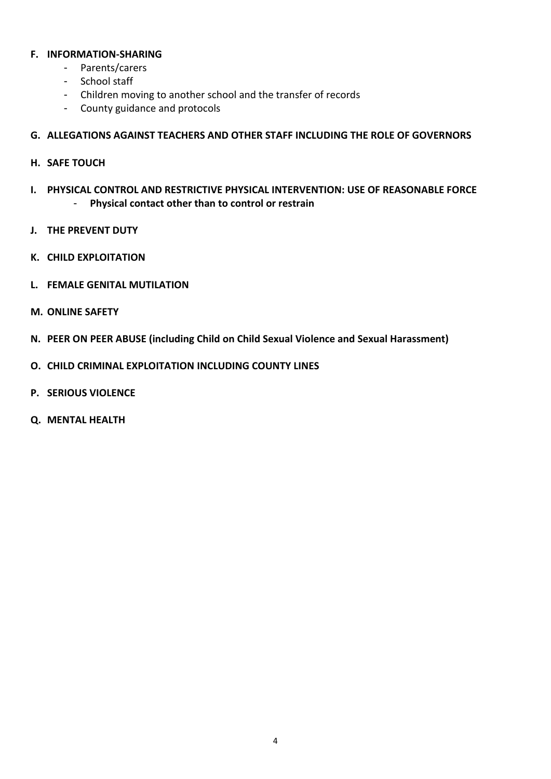#### **F. INFORMATION-SHARING**

- Parents/carers
- School staff
- Children moving to another school and the transfer of records
- County guidance and protocols

#### **G. ALLEGATIONS AGAINST TEACHERS AND OTHER STAFF INCLUDING THE ROLE OF GOVERNORS**

- **H. SAFE TOUCH**
- **I. PHYSICAL CONTROL AND RESTRICTIVE PHYSICAL INTERVENTION: USE OF REASONABLE FORCE** - **Physical contact other than to control or restrain**
- **J. THE PREVENT DUTY**
- **K. CHILD EXPLOITATION**
- **L. FEMALE GENITAL MUTILATION**
- **M. ONLINE SAFETY**
- **N. PEER ON PEER ABUSE (including Child on Child Sexual Violence and Sexual Harassment)**
- **O. CHILD CRIMINAL EXPLOITATION INCLUDING COUNTY LINES**
- **P. SERIOUS VIOLENCE**
- **Q. MENTAL HEALTH**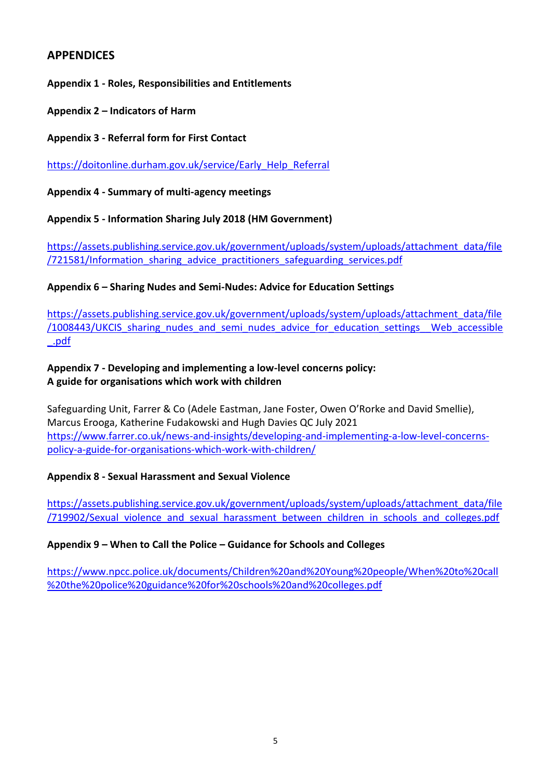# **APPENDICES**

**Appendix 1 - Roles, Responsibilities and Entitlements**

**Appendix 2 – Indicators of Harm**

**Appendix 3 - Referral form for First Contact**

[https://doitonline.durham.gov.uk/service/Early\\_Help\\_Referral](https://doitonline.durham.gov.uk/service/Early_Help_Referral)

**Appendix 4 - Summary of multi-agency meetings**

**Appendix 5 - Information Sharing July 2018 (HM Government)**

[https://assets.publishing.service.gov.uk/government/uploads/system/uploads/attachment\\_data/file](https://assets.publishing.service.gov.uk/government/uploads/system/uploads/attachment_data/file/721581/Information_sharing_advice_practitioners_safeguarding_services.pdf) [/721581/Information\\_sharing\\_advice\\_practitioners\\_safeguarding\\_services.pdf](https://assets.publishing.service.gov.uk/government/uploads/system/uploads/attachment_data/file/721581/Information_sharing_advice_practitioners_safeguarding_services.pdf)

**Appendix 6 – Sharing Nudes and Semi-Nudes: Advice for Education Settings**

[https://assets.publishing.service.gov.uk/government/uploads/system/uploads/attachment\\_data/file](https://assets.publishing.service.gov.uk/government/uploads/system/uploads/attachment_data/file/1008443/UKCIS_sharing_nudes_and_semi_nudes_advice_for_education_settings__Web_accessible_.pdf) /1008443/UKCIS sharing nudes and semi\_nudes\_advice\_for\_education\_settings\_Web\_accessible [\\_.pdf](https://assets.publishing.service.gov.uk/government/uploads/system/uploads/attachment_data/file/1008443/UKCIS_sharing_nudes_and_semi_nudes_advice_for_education_settings__Web_accessible_.pdf)

#### **Appendix 7 - Developing and implementing a low-level concerns policy: A guide for organisations which work with children**

Safeguarding Unit, Farrer & Co (Adele Eastman, Jane Foster, Owen O'Rorke and David Smellie), Marcus Erooga, Katherine Fudakowski and Hugh Davies QC July 2021 [https://www.farrer.co.uk/news-and-insights/developing-and-implementing-a-low-level-concerns](https://www.farrer.co.uk/news-and-insights/developing-and-implementing-a-low-level-concerns-policy-a-guide-for-organisations-which-work-with-children/)[policy-a-guide-for-organisations-which-work-with-children/](https://www.farrer.co.uk/news-and-insights/developing-and-implementing-a-low-level-concerns-policy-a-guide-for-organisations-which-work-with-children/)

#### **Appendix 8 - Sexual Harassment and Sexual Violence**

[https://assets.publishing.service.gov.uk/government/uploads/system/uploads/attachment\\_data/file](https://assets.publishing.service.gov.uk/government/uploads/system/uploads/attachment_data/file/719902/Sexual_violence_and_sexual_harassment_between_children_in_schools_and_colleges.pdf) [/719902/Sexual\\_violence\\_and\\_sexual\\_harassment\\_between\\_children\\_in\\_schools\\_and\\_colleges.pdf](https://assets.publishing.service.gov.uk/government/uploads/system/uploads/attachment_data/file/719902/Sexual_violence_and_sexual_harassment_between_children_in_schools_and_colleges.pdf)

#### **Appendix 9 – When to Call the Police – Guidance for Schools and Colleges**

[https://www.npcc.police.uk/documents/Children%20and%20Young%20people/When%20to%20call](https://www.npcc.police.uk/documents/Children%20and%20Young%20people/When%20to%20call%20the%20police%20guidance%20for%20schools%20and%20colleges.pdf) [%20the%20police%20guidance%20for%20schools%20and%20colleges.pdf](https://www.npcc.police.uk/documents/Children%20and%20Young%20people/When%20to%20call%20the%20police%20guidance%20for%20schools%20and%20colleges.pdf)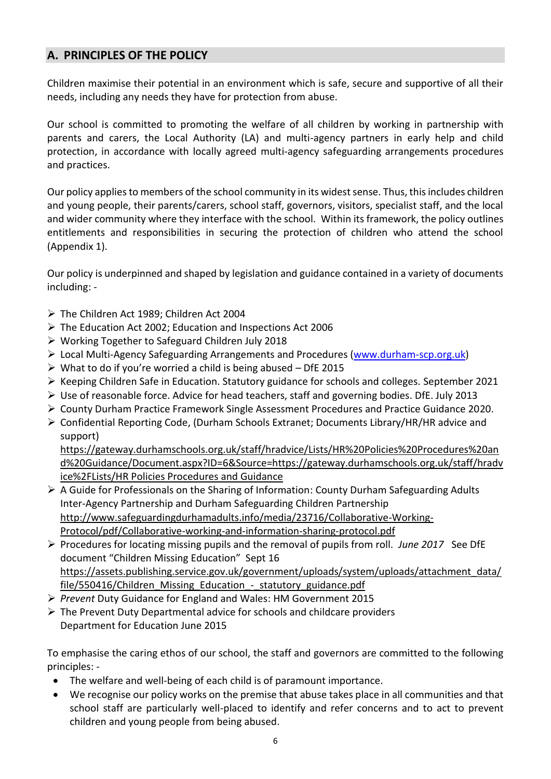# **A. PRINCIPLES OF THE POLICY**

Children maximise their potential in an environment which is safe, secure and supportive of all their needs, including any needs they have for protection from abuse.

Our school is committed to promoting the welfare of all children by working in partnership with parents and carers, the Local Authority (LA) and multi-agency partners in early help and child protection, in accordance with locally agreed multi-agency safeguarding arrangements procedures and practices.

Our policy applies to members of the school community in its widest sense. Thus, this includes children and young people, their parents/carers, school staff, governors, visitors, specialist staff, and the local and wider community where they interface with the school. Within its framework, the policy outlines entitlements and responsibilities in securing the protection of children who attend the school (Appendix 1).

Our policy is underpinned and shaped by legislation and guidance contained in a variety of documents including: -

- ➢ The Children Act 1989; Children Act 2004
- ➢ The Education Act 2002; Education and Inspections Act 2006
- ➢ Working Together to Safeguard Children July 2018
- ➢ Local Multi-Agency Safeguarding Arrangements and Procedures [\(www.durham-scp.org.uk\)](http://www.durham-scp.org.uk/)
- $\triangleright$  What to do if you're worried a child is being abused DfE 2015
- ➢ Keeping Children Safe in Education. Statutory guidance for schools and colleges. September 2021
- ➢ Use of reasonable force. Advice for head teachers, staff and governing bodies. DfE. July 2013
- ➢ County Durham Practice Framework Single Assessment Procedures and Practice Guidance 2020.
- ➢ Confidential Reporting Code, (Durham Schools Extranet; Documents Library/HR/HR advice and support)

[https://gateway.durhamschools.org.uk/staff/hradvice/Lists/HR%20Policies%20Procedures%20an](https://gateway.durhamschools.org.uk/staff/hradvice/Lists/HR%20Policies%20Procedures%20and%20Guidance/Document.aspx?ID=6&Source=https://gateway.durhamschools.org.uk/staff/hradvice%2FLists/HR%20Policies%20Procedures%20and%20Guidance%20) [d%20Guidance/Document.aspx?ID=6&Source=https://gateway.durhamschools.org.uk/staff/hradv](https://gateway.durhamschools.org.uk/staff/hradvice/Lists/HR%20Policies%20Procedures%20and%20Guidance/Document.aspx?ID=6&Source=https://gateway.durhamschools.org.uk/staff/hradvice%2FLists/HR%20Policies%20Procedures%20and%20Guidance%20) [ice%2FLists/HR Policies Procedures and Guidance](https://gateway.durhamschools.org.uk/staff/hradvice/Lists/HR%20Policies%20Procedures%20and%20Guidance/Document.aspx?ID=6&Source=https://gateway.durhamschools.org.uk/staff/hradvice%2FLists/HR%20Policies%20Procedures%20and%20Guidance%20)

- ➢ A Guide for Professionals on the Sharing of Information: County Durham Safeguarding Adults Inter-Agency Partnership and Durham Safeguarding Children Partnership [http://www.safeguardingdurhamadults.info/media/23716/Collaborative-Working-](http://www.safeguardingdurhamadults.info/media/23716/Collaborative-Working-Protocol/pdf/Collaborative-working-and-information-sharing-protocol.pdf)[Protocol/pdf/Collaborative-working-and-information-sharing-protocol.pdf](http://www.safeguardingdurhamadults.info/media/23716/Collaborative-Working-Protocol/pdf/Collaborative-working-and-information-sharing-protocol.pdf)
- ➢ Procedures for locating missing pupils and the removal of pupils from roll. *June 2017* See DfE document "Children Missing Education" Sept 16 [https://assets.publishing.service.gov.uk/government/uploads/system/uploads/attachment\\_data/](https://assets.publishing.service.gov.uk/government/uploads/system/uploads/attachment_data/file/550416/Children_Missing_Education_-_statutory_guidance.pdf) file/550416/Children\_Missing\_Education - statutory\_guidance.pdf
- ➢ *Prevent* Duty Guidance for England and Wales: HM Government 2015
- $\triangleright$  The Prevent Duty Departmental advice for schools and childcare providers Department for Education June 2015

To emphasise the caring ethos of our school, the staff and governors are committed to the following principles: -

- The welfare and well-being of each child is of paramount importance.
- We recognise our policy works on the premise that abuse takes place in all communities and that school staff are particularly well-placed to identify and refer concerns and to act to prevent children and young people from being abused.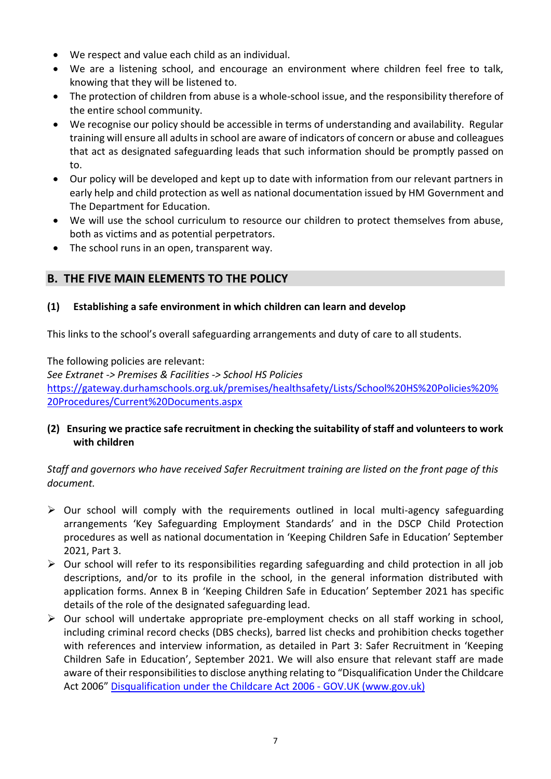- We respect and value each child as an individual.
- We are a listening school, and encourage an environment where children feel free to talk, knowing that they will be listened to.
- The protection of children from abuse is a whole-school issue, and the responsibility therefore of the entire school community.
- We recognise our policy should be accessible in terms of understanding and availability. Regular training will ensure all adults in school are aware of indicators of concern or abuse and colleagues that act as designated safeguarding leads that such information should be promptly passed on to.
- Our policy will be developed and kept up to date with information from our relevant partners in early help and child protection as well as national documentation issued by HM Government and The Department for Education.
- We will use the school curriculum to resource our children to protect themselves from abuse, both as victims and as potential perpetrators.
- The school runs in an open, transparent way.

# **B. THE FIVE MAIN ELEMENTS TO THE POLICY**

#### **(1) Establishing a safe environment in which children can learn and develop**

This links to the school's overall safeguarding arrangements and duty of care to all students.

The following policies are relevant:

*See Extranet -> Premises & Facilities -> School HS Policies*  [https://gateway.durhamschools.org.uk/premises/healthsafety/Lists/School%20HS%20Policies%20%](https://gateway.durhamschools.org.uk/premises/healthsafety/Lists/School%20HS%20Policies%20%20Procedures/Current%20Documents.aspx) [20Procedures/Current%20Documents.aspx](https://gateway.durhamschools.org.uk/premises/healthsafety/Lists/School%20HS%20Policies%20%20Procedures/Current%20Documents.aspx)

#### **(2) Ensuring we practice safe recruitment in checking the suitability of staff and volunteers to work with children**

# *Staff and governors who have received Safer Recruitment training are listed on the front page of this document.*

- ➢ Our school will comply with the requirements outlined in local multi-agency safeguarding arrangements 'Key Safeguarding Employment Standards' and in the DSCP Child Protection procedures as well as national documentation in 'Keeping Children Safe in Education' September 2021, Part 3.
- $\triangleright$  Our school will refer to its responsibilities regarding safeguarding and child protection in all job descriptions, and/or to its profile in the school, in the general information distributed with application forms. Annex B in 'Keeping Children Safe in Education' September 2021 has specific details of the role of the designated safeguarding lead.
- $\triangleright$  Our school will undertake appropriate pre-employment checks on all staff working in school, including criminal record checks (DBS checks), barred list checks and prohibition checks together with references and interview information, as detailed in Part 3: Safer Recruitment in 'Keeping Children Safe in Education', September 2021. We will also ensure that relevant staff are made aware of their responsibilities to disclose anything relating to "Disqualification Under the Childcare Act 2006" [Disqualification under the Childcare Act 2006 -](https://www.gov.uk/government/publications/disqualification-under-the-childcare-act-2006/disqualification-under-the-childcare-act-2006) GOV.UK (www.gov.uk)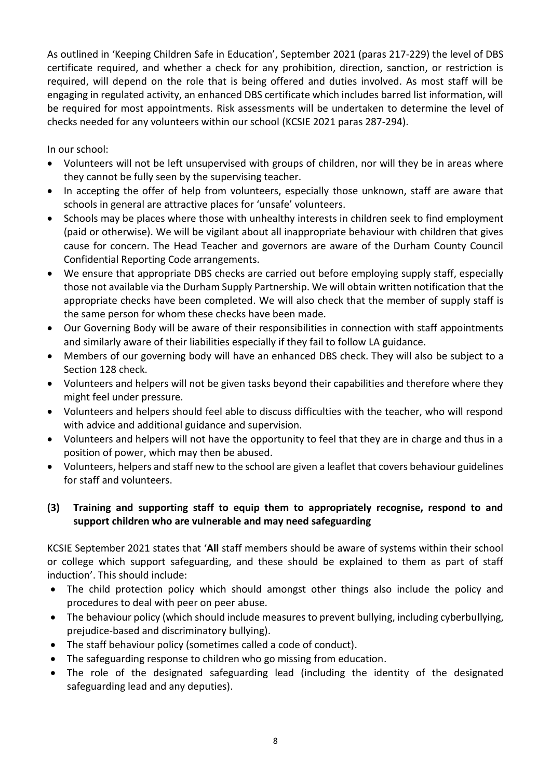As outlined in 'Keeping Children Safe in Education', September 2021 (paras 217-229) the level of DBS certificate required, and whether a check for any prohibition, direction, sanction, or restriction is required, will depend on the role that is being offered and duties involved. As most staff will be engaging in regulated activity, an enhanced DBS certificate which includes barred list information, will be required for most appointments. Risk assessments will be undertaken to determine the level of checks needed for any volunteers within our school (KCSIE 2021 paras 287-294).

In our school:

- Volunteers will not be left unsupervised with groups of children, nor will they be in areas where they cannot be fully seen by the supervising teacher.
- In accepting the offer of help from volunteers, especially those unknown, staff are aware that schools in general are attractive places for 'unsafe' volunteers.
- Schools may be places where those with unhealthy interests in children seek to find employment (paid or otherwise). We will be vigilant about all inappropriate behaviour with children that gives cause for concern. The Head Teacher and governors are aware of the Durham County Council Confidential Reporting Code arrangements.
- We ensure that appropriate DBS checks are carried out before employing supply staff, especially those not available via the Durham Supply Partnership. We will obtain written notification that the appropriate checks have been completed. We will also check that the member of supply staff is the same person for whom these checks have been made.
- Our Governing Body will be aware of their responsibilities in connection with staff appointments and similarly aware of their liabilities especially if they fail to follow LA guidance.
- Members of our governing body will have an enhanced DBS check. They will also be subject to a Section 128 check.
- Volunteers and helpers will not be given tasks beyond their capabilities and therefore where they might feel under pressure.
- Volunteers and helpers should feel able to discuss difficulties with the teacher, who will respond with advice and additional guidance and supervision.
- Volunteers and helpers will not have the opportunity to feel that they are in charge and thus in a position of power, which may then be abused.
- Volunteers, helpers and staff new to the school are given a leaflet that covers behaviour guidelines for staff and volunteers.

# **(3) Training and supporting staff to equip them to appropriately recognise, respond to and support children who are vulnerable and may need safeguarding**

KCSIE September 2021 states that '**All** staff members should be aware of systems within their school or college which support safeguarding, and these should be explained to them as part of staff induction'. This should include:

- The child protection policy which should amongst other things also include the policy and procedures to deal with peer on peer abuse.
- The behaviour policy (which should include measures to prevent bullying, including cyberbullying, prejudice-based and discriminatory bullying).
- The staff behaviour policy (sometimes called a code of conduct).
- The safeguarding response to children who go missing from education.
- The role of the designated safeguarding lead (including the identity of the designated safeguarding lead and any deputies).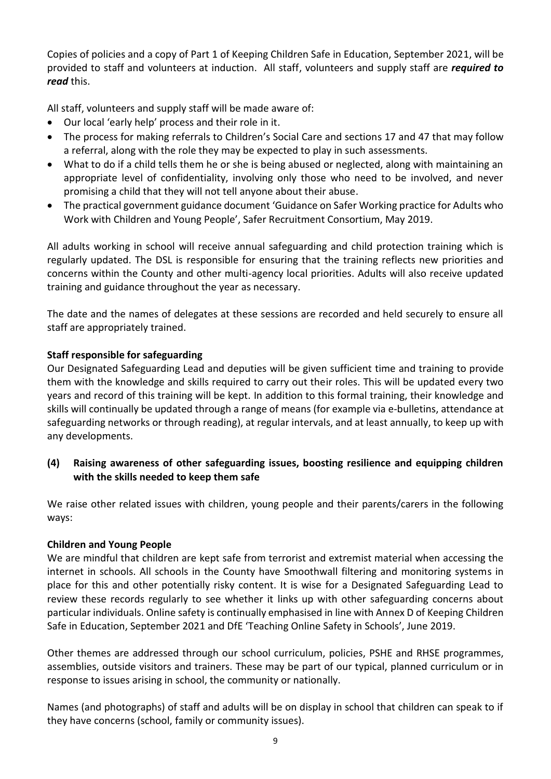Copies of policies and a copy of Part 1 of Keeping Children Safe in Education, September 2021, will be provided to staff and volunteers at induction. All staff, volunteers and supply staff are *required to read* this.

All staff, volunteers and supply staff will be made aware of:

- Our local 'early help' process and their role in it.
- The process for making referrals to Children's Social Care and sections 17 and 47 that may follow a referral, along with the role they may be expected to play in such assessments.
- What to do if a child tells them he or she is being abused or neglected, along with maintaining an appropriate level of confidentiality, involving only those who need to be involved, and never promising a child that they will not tell anyone about their abuse.
- The practical government guidance document 'Guidance on Safer Working practice for Adults who Work with Children and Young People', Safer Recruitment Consortium, May 2019.

All adults working in school will receive annual safeguarding and child protection training which is regularly updated. The DSL is responsible for ensuring that the training reflects new priorities and concerns within the County and other multi-agency local priorities. Adults will also receive updated training and guidance throughout the year as necessary.

The date and the names of delegates at these sessions are recorded and held securely to ensure all staff are appropriately trained.

#### **Staff responsible for safeguarding**

Our Designated Safeguarding Lead and deputies will be given sufficient time and training to provide them with the knowledge and skills required to carry out their roles. This will be updated every two years and record of this training will be kept. In addition to this formal training, their knowledge and skills will continually be updated through a range of means (for example via e-bulletins, attendance at safeguarding networks or through reading), at regular intervals, and at least annually, to keep up with any developments.

**(4) Raising awareness of other safeguarding issues, boosting resilience and equipping children with the skills needed to keep them safe**

We raise other related issues with children, young people and their parents/carers in the following ways:

#### **Children and Young People**

We are mindful that children are kept safe from terrorist and extremist material when accessing the internet in schools. All schools in the County have Smoothwall filtering and monitoring systems in place for this and other potentially risky content. It is wise for a Designated Safeguarding Lead to review these records regularly to see whether it links up with other safeguarding concerns about particular individuals. Online safety is continually emphasised in line with Annex D of Keeping Children Safe in Education, September 2021 and DfE 'Teaching Online Safety in Schools', June 2019.

Other themes are addressed through our school curriculum, policies, PSHE and RHSE programmes, assemblies, outside visitors and trainers. These may be part of our typical, planned curriculum or in response to issues arising in school, the community or nationally.

Names (and photographs) of staff and adults will be on display in school that children can speak to if they have concerns (school, family or community issues).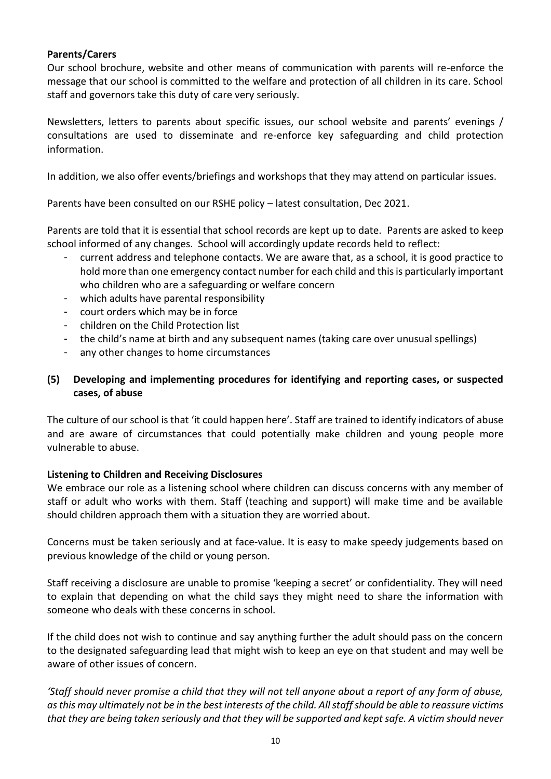#### **Parents/Carers**

Our school brochure, website and other means of communication with parents will re-enforce the message that our school is committed to the welfare and protection of all children in its care. School staff and governors take this duty of care very seriously.

Newsletters, letters to parents about specific issues, our school website and parents' evenings / consultations are used to disseminate and re-enforce key safeguarding and child protection information.

In addition, we also offer events/briefings and workshops that they may attend on particular issues.

Parents have been consulted on our RSHE policy – latest consultation, Dec 2021.

Parents are told that it is essential that school records are kept up to date. Parents are asked to keep school informed of any changes. School will accordingly update records held to reflect:

- current address and telephone contacts. We are aware that, as a school, it is good practice to hold more than one emergency contact number for each child and this is particularly important who children who are a safeguarding or welfare concern
- which adults have parental responsibility
- court orders which may be in force
- children on the Child Protection list
- the child's name at birth and any subsequent names (taking care over unusual spellings)
- any other changes to home circumstances

#### **(5) Developing and implementing procedures for identifying and reporting cases, or suspected cases, of abuse**

The culture of our school is that 'it could happen here'. Staff are trained to identify indicators of abuse and are aware of circumstances that could potentially make children and young people more vulnerable to abuse.

#### **Listening to Children and Receiving Disclosures**

We embrace our role as a listening school where children can discuss concerns with any member of staff or adult who works with them. Staff (teaching and support) will make time and be available should children approach them with a situation they are worried about.

Concerns must be taken seriously and at face-value. It is easy to make speedy judgements based on previous knowledge of the child or young person.

Staff receiving a disclosure are unable to promise 'keeping a secret' or confidentiality. They will need to explain that depending on what the child says they might need to share the information with someone who deals with these concerns in school.

If the child does not wish to continue and say anything further the adult should pass on the concern to the designated safeguarding lead that might wish to keep an eye on that student and may well be aware of other issues of concern.

*'Staff should never promise a child that they will not tell anyone about a report of any form of abuse, as this may ultimately not be in the best interests of the child. All staff should be able to reassure victims that they are being taken seriously and that they will be supported and kept safe. A victim should never*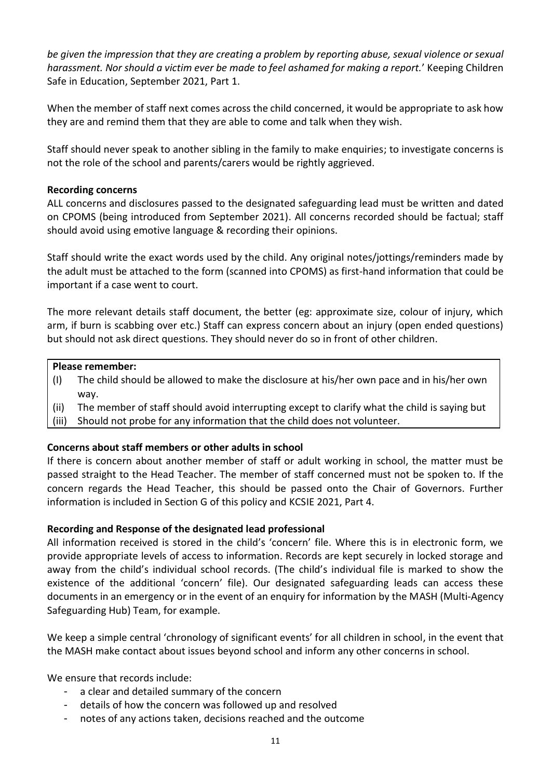*be given the impression that they are creating a problem by reporting abuse, sexual violence or sexual harassment. Nor should a victim ever be made to feel ashamed for making a report.*' Keeping Children Safe in Education, September 2021, Part 1.

When the member of staff next comes across the child concerned, it would be appropriate to ask how they are and remind them that they are able to come and talk when they wish.

Staff should never speak to another sibling in the family to make enquiries; to investigate concerns is not the role of the school and parents/carers would be rightly aggrieved.

#### **Recording concerns**

ALL concerns and disclosures passed to the designated safeguarding lead must be written and dated on CPOMS (being introduced from September 2021). All concerns recorded should be factual; staff should avoid using emotive language & recording their opinions.

Staff should write the exact words used by the child. Any original notes/jottings/reminders made by the adult must be attached to the form (scanned into CPOMS) as first-hand information that could be important if a case went to court.

The more relevant details staff document, the better (eg: approximate size, colour of injury, which arm, if burn is scabbing over etc.) Staff can express concern about an injury (open ended questions) but should not ask direct questions. They should never do so in front of other children.

#### **Please remember:**

- (I) The child should be allowed to make the disclosure at his/her own pace and in his/her own way.
- (ii) The member of staff should avoid interrupting except to clarify what the child is saying but
- (iii) Should not probe for any information that the child does not volunteer.

#### **Concerns about staff members or other adults in school**

If there is concern about another member of staff or adult working in school, the matter must be passed straight to the Head Teacher. The member of staff concerned must not be spoken to. If the concern regards the Head Teacher, this should be passed onto the Chair of Governors. Further information is included in Section G of this policy and KCSIE 2021, Part 4.

#### **Recording and Response of the designated lead professional**

All information received is stored in the child's 'concern' file. Where this is in electronic form, we provide appropriate levels of access to information. Records are kept securely in locked storage and away from the child's individual school records. (The child's individual file is marked to show the existence of the additional 'concern' file). Our designated safeguarding leads can access these documents in an emergency or in the event of an enquiry for information by the MASH (Multi-Agency Safeguarding Hub) Team, for example.

We keep a simple central 'chronology of significant events' for all children in school, in the event that the MASH make contact about issues beyond school and inform any other concerns in school.

We ensure that records include:

- a clear and detailed summary of the concern
- details of how the concern was followed up and resolved
- notes of any actions taken, decisions reached and the outcome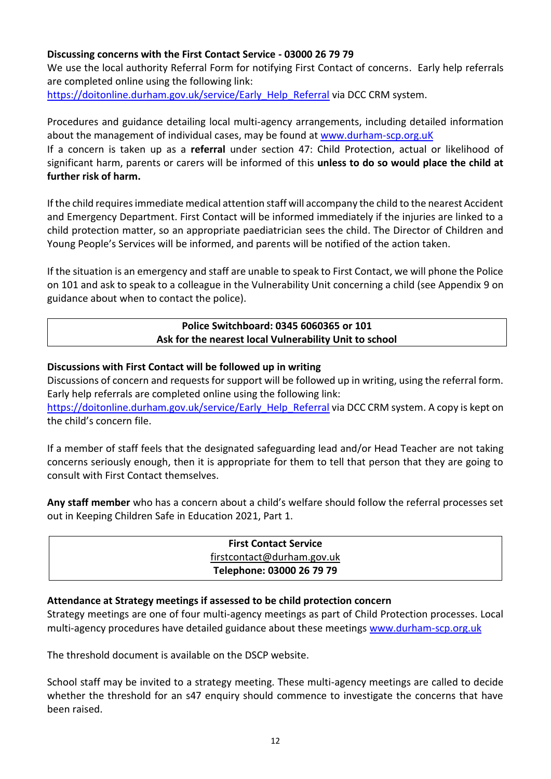#### **Discussing concerns with the First Contact Service - 03000 26 79 79**

We use the local authority Referral Form for notifying First Contact of concerns. Early help referrals are completed online using the following link:

[https://doitonline.durham.gov.uk/service/Early\\_Help\\_Referral](https://doitonline.durham.gov.uk/service/Early_Help_Referral) via DCC CRM system.

Procedures and guidance detailing local multi-agency arrangements, including detailed information about the management of individual cases, may be found at [www.durham-scp.org.uK](http://www.durham-scp.org.uk/)

If a concern is taken up as a **referral** under section 47: Child Protection, actual or likelihood of significant harm, parents or carers will be informed of this **unless to do so would place the child at further risk of harm.**

If the child requires immediate medical attention staff will accompany the child to the nearest Accident and Emergency Department. First Contact will be informed immediately if the injuries are linked to a child protection matter, so an appropriate paediatrician sees the child. The Director of Children and Young People's Services will be informed, and parents will be notified of the action taken.

If the situation is an emergency and staff are unable to speak to First Contact, we will phone the Police on 101 and ask to speak to a colleague in the Vulnerability Unit concerning a child (see Appendix 9 on guidance about when to contact the police).

#### **Police Switchboard: 0345 6060365 or 101 Ask for the nearest local Vulnerability Unit to school**

#### **Discussions with First Contact will be followed up in writing**

Discussions of concern and requests for support will be followed up in writing, using the referral form. Early help referrals are completed online using the following link: [https://doitonline.durham.gov.uk/service/Early\\_Help\\_Referral](https://doitonline.durham.gov.uk/service/Early_Help_Referral) via DCC CRM system. A copy is kept on

the child's concern file.

If a member of staff feels that the designated safeguarding lead and/or Head Teacher are not taking concerns seriously enough, then it is appropriate for them to tell that person that they are going to consult with First Contact themselves.

**Any staff member** who has a concern about a child's welfare should follow the referral processes set out in Keeping Children Safe in Education 2021, Part 1.

| <b>First Contact Service</b> |  |
|------------------------------|--|
| firstcontact@durham.gov.uk   |  |
| Telephone: 03000 26 79 79    |  |

#### **Attendance at Strategy meetings if assessed to be child protection concern**

Strategy meetings are one of four multi-agency meetings as part of Child Protection processes. Local multi-agency procedures have detailed guidance about these meetings [www.durham-scp.org.uk](http://www.durham-scp.org.uk/)

The threshold document is available on the DSCP website.

School staff may be invited to a strategy meeting. These multi-agency meetings are called to decide whether the threshold for an s47 enquiry should commence to investigate the concerns that have been raised.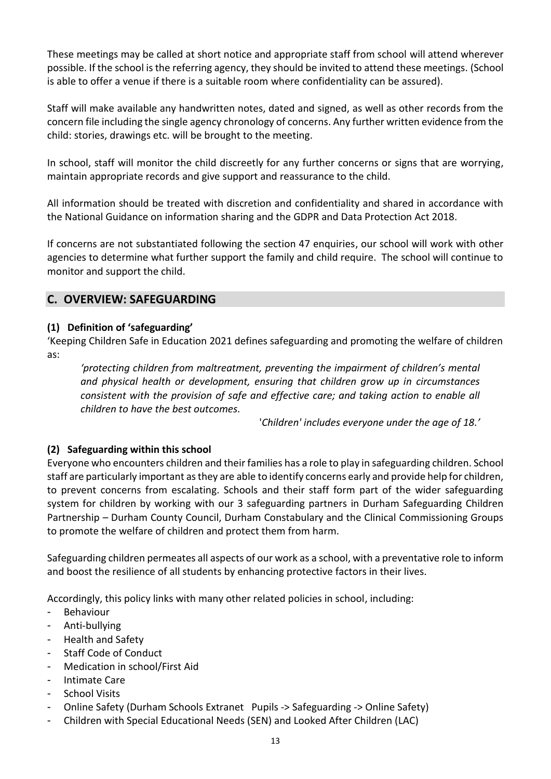These meetings may be called at short notice and appropriate staff from school will attend wherever possible. If the school is the referring agency, they should be invited to attend these meetings. (School is able to offer a venue if there is a suitable room where confidentiality can be assured).

Staff will make available any handwritten notes, dated and signed, as well as other records from the concern file including the single agency chronology of concerns. Any further written evidence from the child: stories, drawings etc. will be brought to the meeting.

In school, staff will monitor the child discreetly for any further concerns or signs that are worrying, maintain appropriate records and give support and reassurance to the child.

All information should be treated with discretion and confidentiality and shared in accordance with the National Guidance on information sharing and the GDPR and Data Protection Act 2018.

If concerns are not substantiated following the section 47 enquiries, our school will work with other agencies to determine what further support the family and child require. The school will continue to monitor and support the child.

# **C. OVERVIEW: SAFEGUARDING**

#### **(1) Definition of 'safeguarding'**

'Keeping Children Safe in Education 2021 defines safeguarding and promoting the welfare of children as:

*'protecting children from maltreatment, preventing the impairment of children's mental and physical health or development, ensuring that children grow up in circumstances consistent with the provision of safe and effective care; and taking action to enable all children to have the best outcomes.*

'*Children' includes everyone under the age of 18.'*

#### **(2) Safeguarding within this school**

Everyone who encounters children and their families has a role to play in safeguarding children. School staff are particularly important as they are able to identify concerns early and provide help for children, to prevent concerns from escalating. Schools and their staff form part of the wider safeguarding system for children by working with our 3 safeguarding partners in Durham Safeguarding Children Partnership – Durham County Council, Durham Constabulary and the Clinical Commissioning Groups to promote the welfare of children and protect them from harm.

Safeguarding children permeates all aspects of our work as a school, with a preventative role to inform and boost the resilience of all students by enhancing protective factors in their lives.

Accordingly, this policy links with many other related policies in school, including:

- **Behaviour**
- Anti-bullying
- Health and Safety
- Staff Code of Conduct
- Medication in school/First Aid
- Intimate Care
- School Visits
- Online Safety (Durham Schools Extranet Pupils -> Safeguarding -> Online Safety)
- Children with Special Educational Needs (SEN) and Looked After Children (LAC)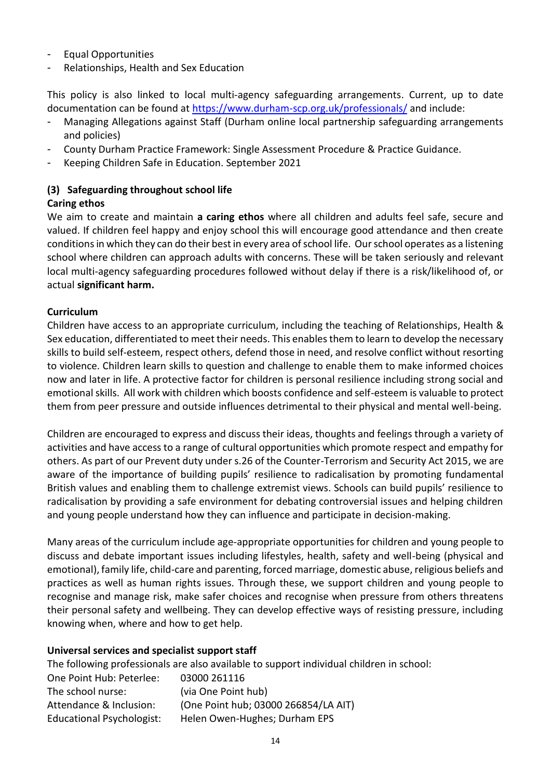- Equal Opportunities
- Relationships, Health and Sex Education

This policy is also linked to local multi-agency safeguarding arrangements. Current, up to date documentation can be found at <https://www.durham-scp.org.uk/professionals/> and include:

- Managing Allegations against Staff (Durham online local partnership safeguarding arrangements and policies)
- County Durham Practice Framework: Single Assessment Procedure & Practice Guidance.
- Keeping Children Safe in Education. September 2021

# **(3) Safeguarding throughout school life**

#### **Caring ethos**

We aim to create and maintain **a caring ethos** where all children and adults feel safe, secure and valued. If children feel happy and enjoy school this will encourage good attendance and then create conditions in which they can do their best in every area of school life. Our school operates as a listening school where children can approach adults with concerns. These will be taken seriously and relevant local multi-agency safeguarding procedures followed without delay if there is a risk/likelihood of, or actual **significant harm.**

#### **Curriculum**

Children have access to an appropriate curriculum, including the teaching of Relationships, Health & Sex education, differentiated to meet their needs. This enables them to learn to develop the necessary skills to build self-esteem, respect others, defend those in need, and resolve conflict without resorting to violence. Children learn skills to question and challenge to enable them to make informed choices now and later in life. A protective factor for children is personal resilience including strong social and emotional skills. All work with children which boosts confidence and self-esteem is valuable to protect them from peer pressure and outside influences detrimental to their physical and mental well-being.

Children are encouraged to express and discuss their ideas, thoughts and feelings through a variety of activities and have access to a range of cultural opportunities which promote respect and empathy for others. As part of our Prevent duty under s.26 of the Counter-Terrorism and Security Act 2015, we are aware of the importance of building pupils' resilience to radicalisation by promoting fundamental British values and enabling them to challenge extremist views. Schools can build pupils' resilience to radicalisation by providing a safe environment for debating controversial issues and helping children and young people understand how they can influence and participate in decision-making.

Many areas of the curriculum include age-appropriate opportunities for children and young people to discuss and debate important issues including lifestyles, health, safety and well-being (physical and emotional), family life, child-care and parenting, forced marriage, domestic abuse, religious beliefs and practices as well as human rights issues. Through these, we support children and young people to recognise and manage risk, make safer choices and recognise when pressure from others threatens their personal safety and wellbeing. They can develop effective ways of resisting pressure, including knowing when, where and how to get help.

#### **Universal services and specialist support staff**

The following professionals are also available to support individual children in school: One Point Hub: Peterlee: 03000 261116 The school nurse: (via One Point hub) Attendance & Inclusion: (One Point hub; 03000 266854/LA AIT) Educational Psychologist: Helen Owen-Hughes; Durham EPS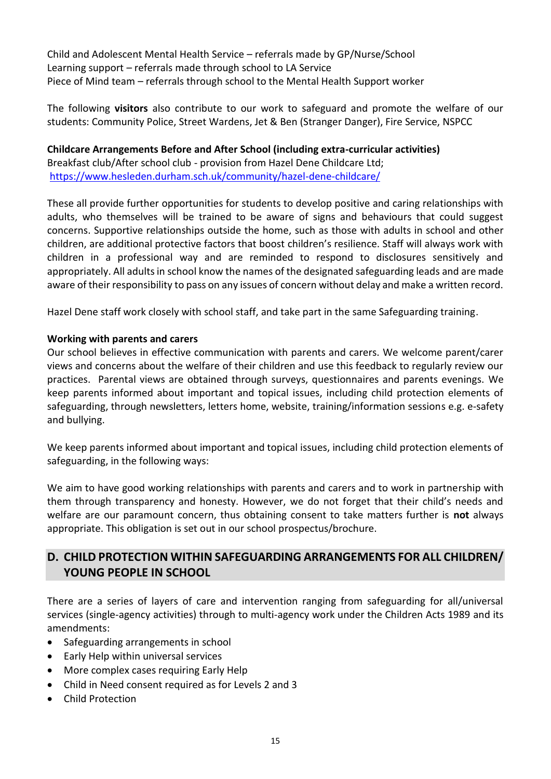Child and Adolescent Mental Health Service – referrals made by GP/Nurse/School Learning support – referrals made through school to LA Service Piece of Mind team – referrals through school to the Mental Health Support worker

The following **visitors** also contribute to our work to safeguard and promote the welfare of our students: Community Police, Street Wardens, Jet & Ben (Stranger Danger), Fire Service, NSPCC

**Childcare Arrangements Before and After School (including extra-curricular activities)** Breakfast club/After school club - provision from Hazel Dene Childcare Ltd; <https://www.hesleden.durham.sch.uk/community/hazel-dene-childcare/>

These all provide further opportunities for students to develop positive and caring relationships with adults, who themselves will be trained to be aware of signs and behaviours that could suggest concerns. Supportive relationships outside the home, such as those with adults in school and other children, are additional protective factors that boost children's resilience. Staff will always work with children in a professional way and are reminded to respond to disclosures sensitively and appropriately. All adults in school know the names of the designated safeguarding leads and are made aware of their responsibility to pass on any issues of concern without delay and make a written record.

Hazel Dene staff work closely with school staff, and take part in the same Safeguarding training.

#### **Working with parents and carers**

Our school believes in effective communication with parents and carers. We welcome parent/carer views and concerns about the welfare of their children and use this feedback to regularly review our practices. Parental views are obtained through surveys, questionnaires and parents evenings. We keep parents informed about important and topical issues, including child protection elements of safeguarding, through newsletters, letters home, website, training/information sessions e.g. e-safety and bullying.

We keep parents informed about important and topical issues, including child protection elements of safeguarding, in the following ways:

We aim to have good working relationships with parents and carers and to work in partnership with them through transparency and honesty. However, we do not forget that their child's needs and welfare are our paramount concern, thus obtaining consent to take matters further is **not** always appropriate. This obligation is set out in our school prospectus/brochure.

# **D. CHILD PROTECTION WITHIN SAFEGUARDING ARRANGEMENTS FOR ALL CHILDREN/ YOUNG PEOPLE IN SCHOOL**

There are a series of layers of care and intervention ranging from safeguarding for all/universal services (single-agency activities) through to multi-agency work under the Children Acts 1989 and its amendments:

- Safeguarding arrangements in school
- Early Help within universal services
- More complex cases requiring Early Help
- Child in Need consent required as for Levels 2 and 3
- Child Protection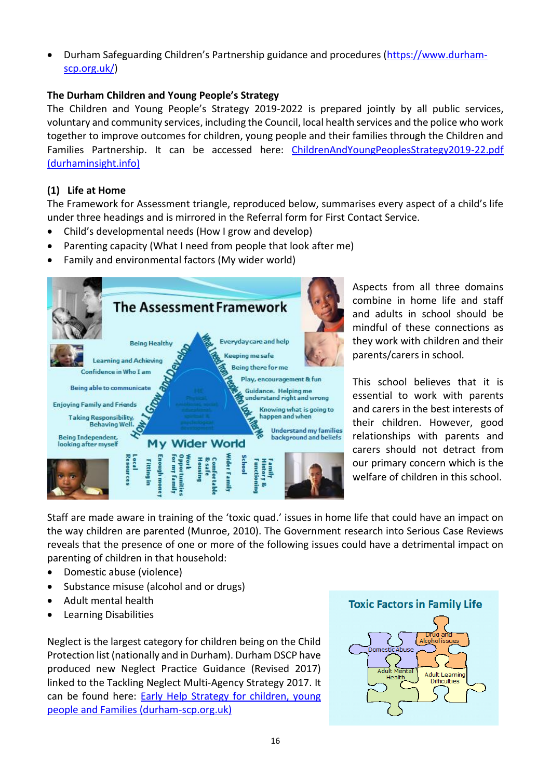• Durham Safeguarding Children's Partnership guidance and procedures [\(https://www.durham](https://www.durham-scp.org.uk/)[scp.org.uk/\)](https://www.durham-scp.org.uk/)

#### **The Durham Children and Young People's Strategy**

The Children and Young People's Strategy 2019-2022 is prepared jointly by all public services, voluntary and community services, including the Council, local health services and the police who work together to improve outcomes for children, young people and their families through the Children and Families Partnership. It can be accessed here: ChildrenAndYoungPeoplesStrategy2019-22.pdf [\(durhaminsight.info\)](https://www.durhaminsight.info/wp-content/uploads/2019/06/ChildrenAndYoungPeoplesStrategy2019-22.pdf)

#### **(1) Life at Home**

The Framework for Assessment triangle, reproduced below, summarises every aspect of a child's life under three headings and is mirrored in the Referral form for First Contact Service.

- Child's developmental needs (How I grow and develop)
- Parenting capacity (What I need from people that look after me)
- Family and environmental factors (My wider world)



Aspects from all three domains combine in home life and staff and adults in school should be mindful of these connections as they work with children and their parents/carers in school.

This school believes that it is essential to work with parents and carers in the best interests of their children. However, good relationships with parents and carers should not detract from our primary concern which is the welfare of children in this school.

Staff are made aware in training of the 'toxic quad.' issues in home life that could have an impact on the way children are parented (Munroe, 2010). The Government research into Serious Case Reviews reveals that the presence of one or more of the following issues could have a detrimental impact on parenting of children in that household:

- Domestic abuse (violence)
- Substance misuse (alcohol and or drugs)
- Adult mental health
- Learning Disabilities

Neglect is the largest category for children being on the Child Protection list (nationally and in Durham). Durham DSCP have produced new Neglect Practice Guidance (Revised 2017) linked to the Tackling Neglect Multi-Agency Strategy 2017. It can be found here: Early Help Strategy for children, young [people and Families \(durham-scp.org.uk\)](https://durham-scp.org.uk/wp-content/uploads/2016/06/1458036245-Neglect-Practice-Guidance-2016-Final.pdf)

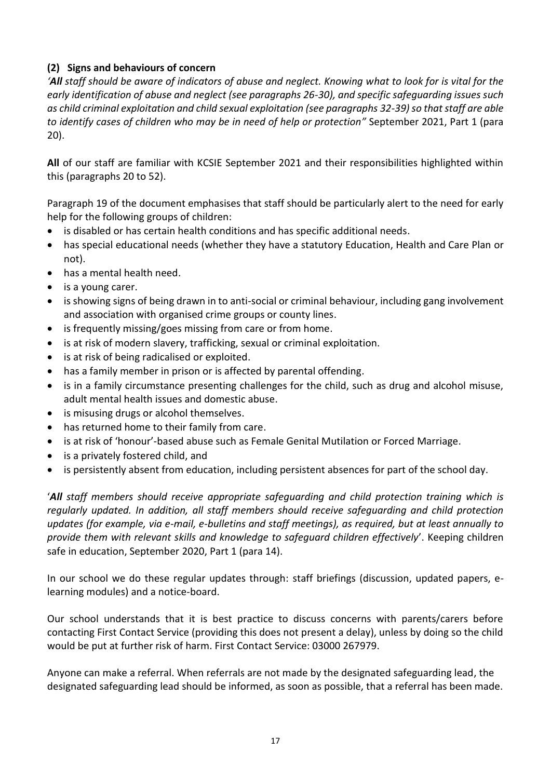# **(2) Signs and behaviours of concern**

*'All staff should be aware of indicators of abuse and neglect. Knowing what to look for is vital for the early identification of abuse and neglect (see paragraphs 26-30), and specific safeguarding issues such as child criminal exploitation and child sexual exploitation (see paragraphs 32-39) so that staff are able to identify cases of children who may be in need of help or protection"* September 2021, Part 1 (para 20).

**All** of our staff are familiar with KCSIE September 2021 and their responsibilities highlighted within this (paragraphs 20 to 52).

Paragraph 19 of the document emphasises that staff should be particularly alert to the need for early help for the following groups of children:

- is disabled or has certain health conditions and has specific additional needs.
- has special educational needs (whether they have a statutory Education, Health and Care Plan or not).
- has a mental health need.
- is a young carer.
- is showing signs of being drawn in to anti-social or criminal behaviour, including gang involvement and association with organised crime groups or county lines.
- is frequently missing/goes missing from care or from home.
- is at risk of modern slavery, trafficking, sexual or criminal exploitation.
- is at risk of being radicalised or exploited.
- has a family member in prison or is affected by parental offending.
- is in a family circumstance presenting challenges for the child, such as drug and alcohol misuse, adult mental health issues and domestic abuse.
- is misusing drugs or alcohol themselves.
- has returned home to their family from care.
- is at risk of 'honour'-based abuse such as Female Genital Mutilation or Forced Marriage.
- is a privately fostered child, and
- is persistently absent from education, including persistent absences for part of the school day.

'*All staff members should receive appropriate safeguarding and child protection training which is regularly updated. In addition, all staff members should receive safeguarding and child protection updates (for example, via e-mail, e-bulletins and staff meetings), as required, but at least annually to provide them with relevant skills and knowledge to safeguard children effectively*'. Keeping children safe in education, September 2020, Part 1 (para 14).

In our school we do these regular updates through: staff briefings (discussion, updated papers, elearning modules) and a notice-board.

Our school understands that it is best practice to discuss concerns with parents/carers before contacting First Contact Service (providing this does not present a delay), unless by doing so the child would be put at further risk of harm. First Contact Service: 03000 267979.

Anyone can make a referral. When referrals are not made by the designated safeguarding lead, the designated safeguarding lead should be informed, as soon as possible, that a referral has been made.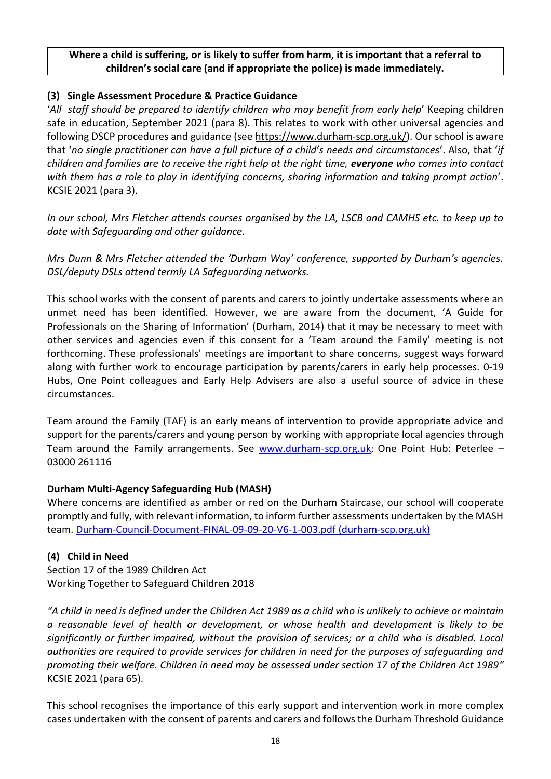#### **Where a child is suffering, or is likely to suffer from harm, it is important that a referral to children's social care (and if appropriate the police) is made immediately.**

#### **(3) Single Assessment Procedure & Practice Guidance**

'*All staff should be prepared to identify children who may benefit from early help*' Keeping children safe in education, September 2021 (para 8). This relates to work with other universal agencies and following DSCP procedures and guidance (see [https://www.durham-scp.org.uk/\)](https://www.durham-scp.org.uk/). Our school is aware that '*no single practitioner can have a full picture of a child's needs and circumstances*'. Also, that '*if children and families are to receive the right help at the right time, everyone who comes into contact with them has a role to play in identifying concerns, sharing information and taking prompt action*'. KCSIE 2021 (para 3).

*In our school, Mrs Fletcher attends courses organised by the LA, LSCB and CAMHS etc. to keep up to date with Safeguarding and other guidance.*

*Mrs Dunn & Mrs Fletcher attended the 'Durham Way' conference, supported by Durham's agencies. DSL/deputy DSLs attend termly LA Safeguarding networks.*

This school works with the consent of parents and carers to jointly undertake assessments where an unmet need has been identified. However, we are aware from the document, 'A Guide for Professionals on the Sharing of Information' (Durham, 2014) that it may be necessary to meet with other services and agencies even if this consent for a 'Team around the Family' meeting is not forthcoming. These professionals' meetings are important to share concerns, suggest ways forward along with further work to encourage participation by parents/carers in early help processes. 0-19 Hubs, One Point colleagues and Early Help Advisers are also a useful source of advice in these circumstances.

Team around the Family (TAF) is an early means of intervention to provide appropriate advice and support for the parents/carers and young person by working with appropriate local agencies through Team around the Family arrangements. See [www.durham-scp.org.uk](http://www.durham-scp.org.uk/); One Point Hub: Peterlee – 03000 261116

#### **Durham Multi-Agency Safeguarding Hub (MASH)**

Where concerns are identified as amber or red on the Durham Staircase, our school will cooperate promptly and fully, with relevant information, to inform further assessments undertaken by the MASH team. [Durham-Council-Document-FINAL-09-09-20-V6-1-003.pdf \(durham-scp.org.uk\)](https://durham-scp.org.uk/wp-content/uploads/2020/09/Durham-Council-Document-FINAL-09-09-20-V6-1-003.pdf)

#### **(4) Child in Need**

Section 17 of the 1989 Children Act Working Together to Safeguard Children 2018

*"A child in need is defined under the Children Act 1989 as a child who is unlikely to achieve or maintain a reasonable level of health or development, or whose health and development is likely to be significantly or further impaired, without the provision of services; or a child who is disabled. Local authorities are required to provide services for children in need for the purposes of safeguarding and promoting their welfare. Children in need may be assessed under section 17 of the Children Act 1989"* KCSIE 2021 (para 65).

This school recognises the importance of this early support and intervention work in more complex cases undertaken with the consent of parents and carers and follows the Durham Threshold Guidance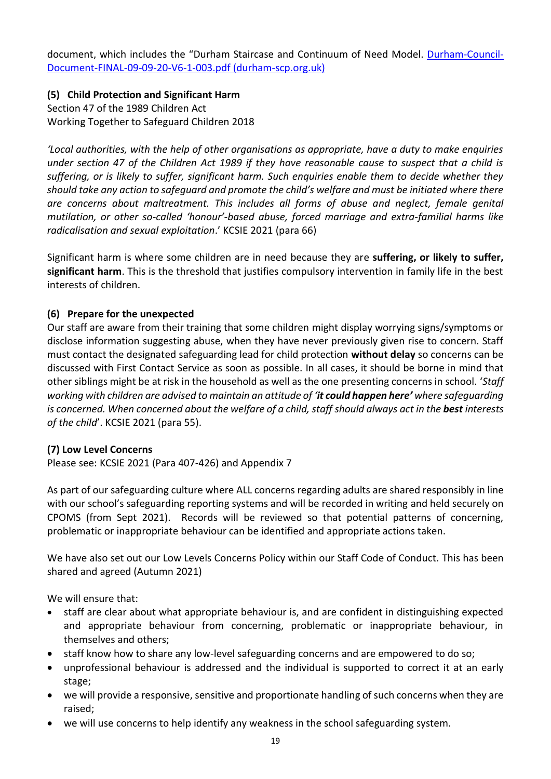document, which includes the "Durham Staircase and Continuum of Need Model. [Durham-Council-](https://durham-scp.org.uk/wp-content/uploads/2020/09/Durham-Council-Document-FINAL-09-09-20-V6-1-003.pdf)[Document-FINAL-09-09-20-V6-1-003.pdf \(durham-scp.org.uk\)](https://durham-scp.org.uk/wp-content/uploads/2020/09/Durham-Council-Document-FINAL-09-09-20-V6-1-003.pdf)

**(5) Child Protection and Significant Harm** Section 47 of the 1989 Children Act Working Together to Safeguard Children 2018

*'Local authorities, with the help of other organisations as appropriate, have a duty to make enquiries under section 47 of the Children Act 1989 if they have reasonable cause to suspect that a child is suffering, or is likely to suffer, significant harm. Such enquiries enable them to decide whether they should take any action to safeguard and promote the child's welfare and must be initiated where there are concerns about maltreatment. This includes all forms of abuse and neglect, female genital mutilation, or other so-called 'honour'-based abuse, forced marriage and extra-familial harms like radicalisation and sexual exploitation*.' KCSIE 2021 (para 66)

Significant harm is where some children are in need because they are **suffering, or likely to suffer, significant harm**. This is the threshold that justifies compulsory intervention in family life in the best interests of children.

#### **(6) Prepare for the unexpected**

Our staff are aware from their training that some children might display worrying signs/symptoms or disclose information suggesting abuse, when they have never previously given rise to concern. Staff must contact the designated safeguarding lead for child protection **without delay** so concerns can be discussed with First Contact Service as soon as possible. In all cases, it should be borne in mind that other siblings might be at risk in the household as well as the one presenting concerns in school. '*Staff working with children are advised to maintain an attitude of 'it could happen here' where safeguarding is concerned. When concerned about the welfare of a child, staff should always act in the best interests of the child*'. KCSIE 2021 (para 55).

#### **(7) Low Level Concerns**

Please see: KCSIE 2021 (Para 407-426) and Appendix 7

As part of our safeguarding culture where ALL concerns regarding adults are shared responsibly in line with our school's safeguarding reporting systems and will be recorded in writing and held securely on CPOMS (from Sept 2021). Records will be reviewed so that potential patterns of concerning, problematic or inappropriate behaviour can be identified and appropriate actions taken.

We have also set out our Low Levels Concerns Policy within our Staff Code of Conduct. This has been shared and agreed (Autumn 2021)

We will ensure that:

- staff are clear about what appropriate behaviour is, and are confident in distinguishing expected and appropriate behaviour from concerning, problematic or inappropriate behaviour, in themselves and others;
- staff know how to share any low-level safeguarding concerns and are empowered to do so;
- unprofessional behaviour is addressed and the individual is supported to correct it at an early stage;
- we will provide a responsive, sensitive and proportionate handling of such concerns when they are raised;
- we will use concerns to help identify any weakness in the school safeguarding system.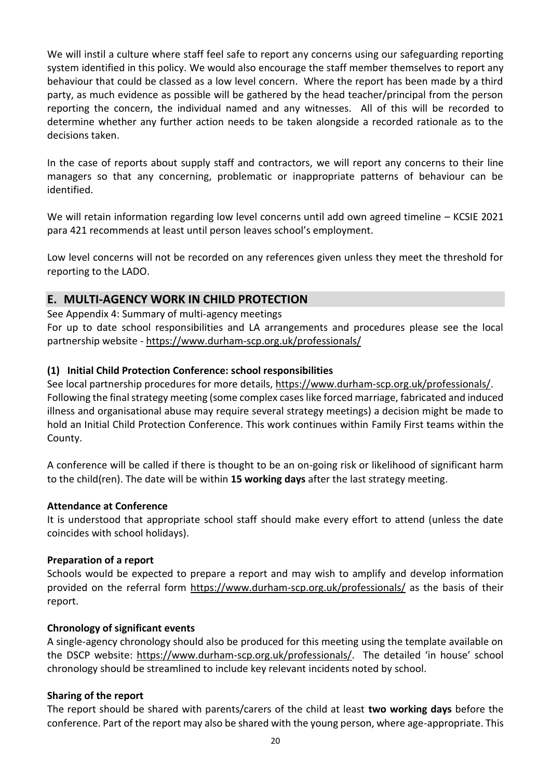We will instil a culture where staff feel safe to report any concerns using our safeguarding reporting system identified in this policy. We would also encourage the staff member themselves to report any behaviour that could be classed as a low level concern. Where the report has been made by a third party, as much evidence as possible will be gathered by the head teacher/principal from the person reporting the concern, the individual named and any witnesses. All of this will be recorded to determine whether any further action needs to be taken alongside a recorded rationale as to the decisions taken.

In the case of reports about supply staff and contractors, we will report any concerns to their line managers so that any concerning, problematic or inappropriate patterns of behaviour can be identified.

We will retain information regarding low level concerns until add own agreed timeline – KCSIE 2021 para 421 recommends at least until person leaves school's employment.

Low level concerns will not be recorded on any references given unless they meet the threshold for reporting to the LADO.

#### **E. MULTI-AGENCY WORK IN CHILD PROTECTION**

See Appendix 4: Summary of multi-agency meetings

For up to date school responsibilities and LA arrangements and procedures please see the local partnership website - <https://www.durham-scp.org.uk/professionals/>

#### **(1) Initial Child Protection Conference: school responsibilities**

See local partnership procedures for more details, [https://www.durham-scp.org.uk/professionals/.](https://www.durham-scp.org.uk/professionals/) Following the final strategy meeting (some complex cases like forced marriage, fabricated and induced illness and organisational abuse may require several strategy meetings) a decision might be made to hold an Initial Child Protection Conference. This work continues within Family First teams within the County.

A conference will be called if there is thought to be an on-going risk or likelihood of significant harm to the child(ren). The date will be within **15 working days** after the last strategy meeting.

#### **Attendance at Conference**

It is understood that appropriate school staff should make every effort to attend (unless the date coincides with school holidays).

#### **Preparation of a report**

Schools would be expected to prepare a report and may wish to amplify and develop information provided on the referral form <https://www.durham-scp.org.uk/professionals/> as the basis of their report.

#### **Chronology of significant events**

A single-agency chronology should also be produced for this meeting using the template available on the DSCP website: [https://www.durham-scp.org.uk/professionals/.](https://www.durham-scp.org.uk/professionals/) The detailed 'in house' school chronology should be streamlined to include key relevant incidents noted by school.

#### **Sharing of the report**

The report should be shared with parents/carers of the child at least **two working days** before the conference. Part of the report may also be shared with the young person, where age-appropriate. This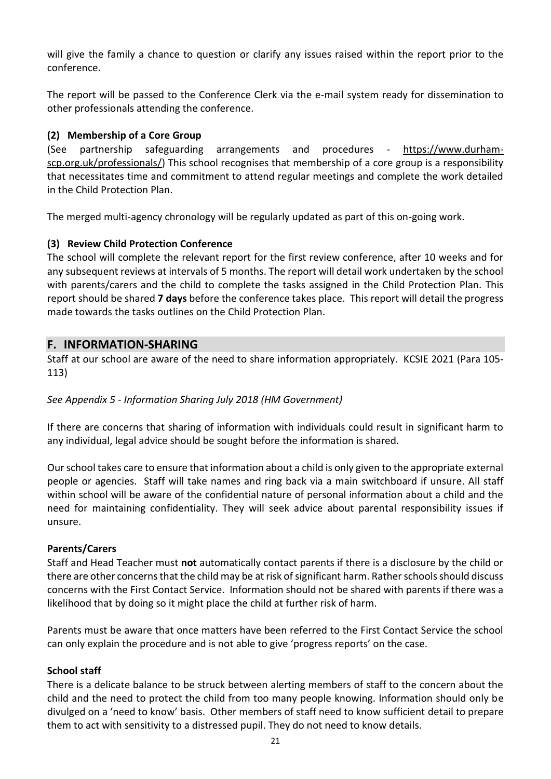will give the family a chance to question or clarify any issues raised within the report prior to the conference.

The report will be passed to the Conference Clerk via the e-mail system ready for dissemination to other professionals attending the conference.

#### **(2) Membership of a Core Group**

(See partnership safeguarding arrangements and procedures - [https://www.durham](https://www.durham-scp.org.uk/professionals/)[scp.org.uk/professionals/\)](https://www.durham-scp.org.uk/professionals/) This school recognises that membership of a core group is a responsibility that necessitates time and commitment to attend regular meetings and complete the work detailed in the Child Protection Plan.

The merged multi-agency chronology will be regularly updated as part of this on-going work.

#### **(3) Review Child Protection Conference**

The school will complete the relevant report for the first review conference, after 10 weeks and for any subsequent reviews at intervals of 5 months. The report will detail work undertaken by the school with parents/carers and the child to complete the tasks assigned in the Child Protection Plan. This report should be shared **7 days** before the conference takes place. This report will detail the progress made towards the tasks outlines on the Child Protection Plan.

#### **F. INFORMATION-SHARING**

Staff at our school are aware of the need to share information appropriately. KCSIE 2021 (Para 105- 113)

#### *See Appendix 5 - Information Sharing July 2018 (HM Government)*

If there are concerns that sharing of information with individuals could result in significant harm to any individual, legal advice should be sought before the information is shared.

Our school takes care to ensure that information about a child is only given to the appropriate external people or agencies. Staff will take names and ring back via a main switchboard if unsure. All staff within school will be aware of the confidential nature of personal information about a child and the need for maintaining confidentiality. They will seek advice about parental responsibility issues if unsure.

#### **Parents/Carers**

Staff and Head Teacher must **not** automatically contact parents if there is a disclosure by the child or there are other concerns that the child may be at risk of significant harm. Rather schools should discuss concerns with the First Contact Service. Information should not be shared with parents if there was a likelihood that by doing so it might place the child at further risk of harm.

Parents must be aware that once matters have been referred to the First Contact Service the school can only explain the procedure and is not able to give 'progress reports' on the case.

#### **School staff**

There is a delicate balance to be struck between alerting members of staff to the concern about the child and the need to protect the child from too many people knowing. Information should only be divulged on a 'need to know' basis. Other members of staff need to know sufficient detail to prepare them to act with sensitivity to a distressed pupil. They do not need to know details.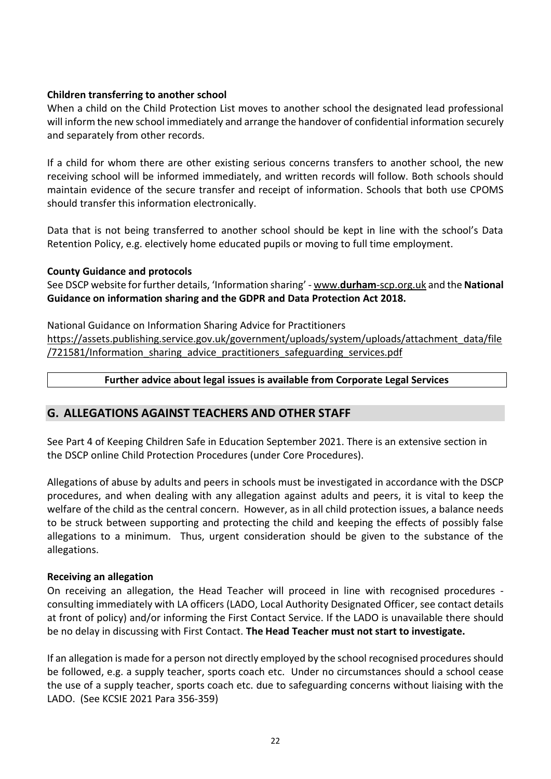#### **Children transferring to another school**

When a child on the Child Protection List moves to another school the designated lead professional will inform the new school immediately and arrange the handover of confidential information securely and separately from other records.

If a child for whom there are other existing serious concerns transfers to another school, the new receiving school will be informed immediately, and written records will follow. Both schools should maintain evidence of the secure transfer and receipt of information. Schools that both use CPOMS should transfer this information electronically.

Data that is not being transferred to another school should be kept in line with the school's Data Retention Policy, e.g. electively home educated pupils or moving to full time employment.

#### **County Guidance and protocols**

See DSCP website for further details, 'Information sharing' - www.**durham**[-scp.org.uk](http://www.durham-scp.org.uk/) and the **National Guidance on information sharing and the GDPR and Data Protection Act 2018.**

National Guidance on Information Sharing Advice for Practitioners [https://assets.publishing.service.gov.uk/government/uploads/system/uploads/attachment\\_data/file](https://assets.publishing.service.gov.uk/government/uploads/system/uploads/attachment_data/file/721581/Information_sharing_advice_practitioners_safeguarding_services.pdf) [/721581/Information\\_sharing\\_advice\\_practitioners\\_safeguarding\\_services.pdf](https://assets.publishing.service.gov.uk/government/uploads/system/uploads/attachment_data/file/721581/Information_sharing_advice_practitioners_safeguarding_services.pdf)

#### **Further advice about legal issues is available from Corporate Legal Services**

# **G. ALLEGATIONS AGAINST TEACHERS AND OTHER STAFF**

See Part 4 of Keeping Children Safe in Education September 2021. There is an extensive section in the DSCP online Child Protection Procedures (under Core Procedures).

Allegations of abuse by adults and peers in schools must be investigated in accordance with the DSCP procedures, and when dealing with any allegation against adults and peers, it is vital to keep the welfare of the child as the central concern. However, as in all child protection issues, a balance needs to be struck between supporting and protecting the child and keeping the effects of possibly false allegations to a minimum. Thus, urgent consideration should be given to the substance of the allegations.

#### **Receiving an allegation**

On receiving an allegation, the Head Teacher will proceed in line with recognised procedures consulting immediately with LA officers (LADO, Local Authority Designated Officer, see contact details at front of policy) and/or informing the First Contact Service. If the LADO is unavailable there should be no delay in discussing with First Contact. **The Head Teacher must not start to investigate.**

If an allegation is made for a person not directly employed by the school recognised procedures should be followed, e.g. a supply teacher, sports coach etc. Under no circumstances should a school cease the use of a supply teacher, sports coach etc. due to safeguarding concerns without liaising with the LADO. (See KCSIE 2021 Para 356-359)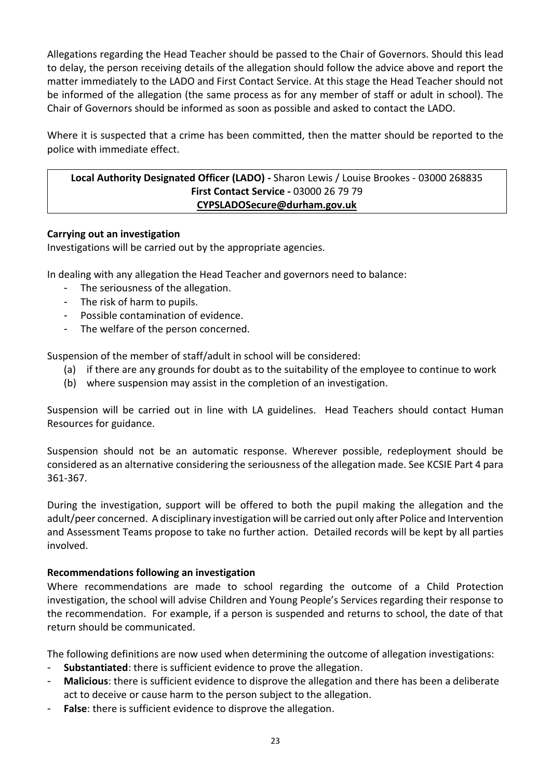Allegations regarding the Head Teacher should be passed to the Chair of Governors. Should this lead to delay, the person receiving details of the allegation should follow the advice above and report the matter immediately to the LADO and First Contact Service. At this stage the Head Teacher should not be informed of the allegation (the same process as for any member of staff or adult in school). The Chair of Governors should be informed as soon as possible and asked to contact the LADO.

Where it is suspected that a crime has been committed, then the matter should be reported to the police with immediate effect.

#### **Local Authority Designated Officer (LADO) -** Sharon Lewis / Louise Brookes - 03000 268835 **First Contact Service -** 03000 26 79 79 **[CYPSLADOSecure@durham.gov.uk](mailto:CYPSLADOSecure@durham.gov.uk)**

#### **Carrying out an investigation**

Investigations will be carried out by the appropriate agencies.

In dealing with any allegation the Head Teacher and governors need to balance:

- The seriousness of the allegation.
- The risk of harm to pupils.
- Possible contamination of evidence.
- The welfare of the person concerned.

Suspension of the member of staff/adult in school will be considered:

- (a) if there are any grounds for doubt as to the suitability of the employee to continue to work
- (b) where suspension may assist in the completion of an investigation.

Suspension will be carried out in line with LA guidelines. Head Teachers should contact Human Resources for guidance.

Suspension should not be an automatic response. Wherever possible, redeployment should be considered as an alternative considering the seriousness of the allegation made. See KCSIE Part 4 para 361-367.

During the investigation, support will be offered to both the pupil making the allegation and the adult/peer concerned. A disciplinary investigation will be carried out only after Police and Intervention and Assessment Teams propose to take no further action. Detailed records will be kept by all parties involved.

#### **Recommendations following an investigation**

Where recommendations are made to school regarding the outcome of a Child Protection investigation, the school will advise Children and Young People's Services regarding their response to the recommendation. For example, if a person is suspended and returns to school, the date of that return should be communicated.

The following definitions are now used when determining the outcome of allegation investigations:

- **Substantiated:** there is sufficient evidence to prove the allegation.
- **Malicious**: there is sufficient evidence to disprove the allegation and there has been a deliberate act to deceive or cause harm to the person subject to the allegation.
- False: there is sufficient evidence to disprove the allegation.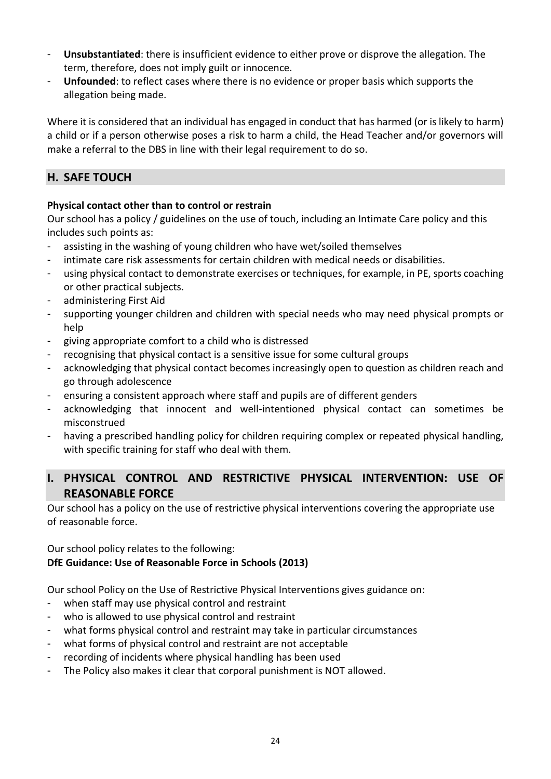- **Unsubstantiated**: there is insufficient evidence to either prove or disprove the allegation. The term, therefore, does not imply guilt or innocence.
- **Unfounded:** to reflect cases where there is no evidence or proper basis which supports the allegation being made.

Where it is considered that an individual has engaged in conduct that has harmed (or is likely to harm) a child or if a person otherwise poses a risk to harm a child, the Head Teacher and/or governors will make a referral to the DBS in line with their legal requirement to do so.

# **H. SAFE TOUCH**

#### **Physical contact other than to control or restrain**

Our school has a policy / guidelines on the use of touch, including an Intimate Care policy and this includes such points as:

- assisting in the washing of young children who have wet/soiled themselves
- intimate care risk assessments for certain children with medical needs or disabilities.
- using physical contact to demonstrate exercises or techniques, for example, in PE, sports coaching or other practical subjects.
- administering First Aid
- supporting younger children and children with special needs who may need physical prompts or help
- giving appropriate comfort to a child who is distressed
- recognising that physical contact is a sensitive issue for some cultural groups
- acknowledging that physical contact becomes increasingly open to question as children reach and go through adolescence
- ensuring a consistent approach where staff and pupils are of different genders
- acknowledging that innocent and well-intentioned physical contact can sometimes be misconstrued
- having a prescribed handling policy for children requiring complex or repeated physical handling, with specific training for staff who deal with them.

# **I. PHYSICAL CONTROL AND RESTRICTIVE PHYSICAL INTERVENTION: USE OF REASONABLE FORCE**

Our school has a policy on the use of restrictive physical interventions covering the appropriate use of reasonable force.

#### Our school policy relates to the following: **DfE Guidance: Use of Reasonable Force in Schools (2013)**

Our school Policy on the Use of Restrictive Physical Interventions gives guidance on:

- when staff may use physical control and restraint
- who is allowed to use physical control and restraint
- what forms physical control and restraint may take in particular circumstances
- what forms of physical control and restraint are not acceptable
- recording of incidents where physical handling has been used
- The Policy also makes it clear that corporal punishment is NOT allowed.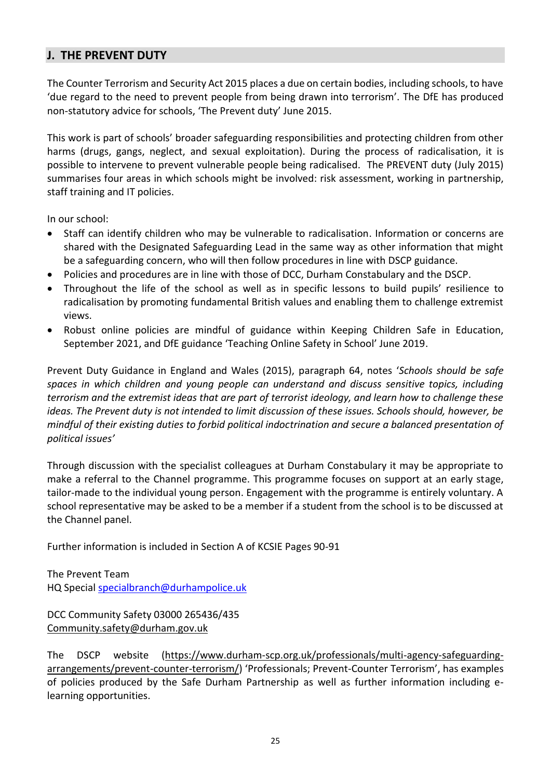# **J. THE PREVENT DUTY**

The Counter Terrorism and Security Act 2015 places a due on certain bodies, including schools, to have 'due regard to the need to prevent people from being drawn into terrorism'. The DfE has produced non-statutory advice for schools, 'The Prevent duty' June 2015.

This work is part of schools' broader safeguarding responsibilities and protecting children from other harms (drugs, gangs, neglect, and sexual exploitation). During the process of radicalisation, it is possible to intervene to prevent vulnerable people being radicalised. The PREVENT duty (July 2015) summarises four areas in which schools might be involved: risk assessment, working in partnership, staff training and IT policies.

In our school:

- Staff can identify children who may be vulnerable to radicalisation. Information or concerns are shared with the Designated Safeguarding Lead in the same way as other information that might be a safeguarding concern, who will then follow procedures in line with DSCP guidance.
- Policies and procedures are in line with those of DCC, Durham Constabulary and the DSCP.
- Throughout the life of the school as well as in specific lessons to build pupils' resilience to radicalisation by promoting fundamental British values and enabling them to challenge extremist views.
- Robust online policies are mindful of guidance within Keeping Children Safe in Education, September 2021, and DfE guidance 'Teaching Online Safety in School' June 2019.

Prevent Duty Guidance in England and Wales (2015), paragraph 64, notes '*Schools should be safe spaces in which children and young people can understand and discuss sensitive topics, including terrorism and the extremist ideas that are part of terrorist ideology, and learn how to challenge these ideas. The Prevent duty is not intended to limit discussion of these issues. Schools should, however, be mindful of their existing duties to forbid political indoctrination and secure a balanced presentation of political issues'*

Through discussion with the specialist colleagues at Durham Constabulary it may be appropriate to make a referral to the Channel programme. This programme focuses on support at an early stage, tailor-made to the individual young person. Engagement with the programme is entirely voluntary. A school representative may be asked to be a member if a student from the school is to be discussed at the Channel panel.

Further information is included in Section A of KCSIE Pages 90-91

The Prevent Team HQ Special [specialbranch@durhampolice.uk](mailto:specialbranch@durhampolice.uk)

DCC Community Safety 03000 265436/435 [Community.safety@durham.gov.uk](mailto:Community.safety@durham.gov.uk)

The DSCP website [\(https://www.durham-scp.org.uk/professionals/multi-agency-safeguarding](https://www.durham-scp.org.uk/professionals/multi-agency-safeguarding-arrangements/prevent-counter-terrorism/)[arrangements/prevent-counter-terrorism/\)](https://www.durham-scp.org.uk/professionals/multi-agency-safeguarding-arrangements/prevent-counter-terrorism/) 'Professionals; Prevent-Counter Terrorism', has examples of policies produced by the Safe Durham Partnership as well as further information including elearning opportunities.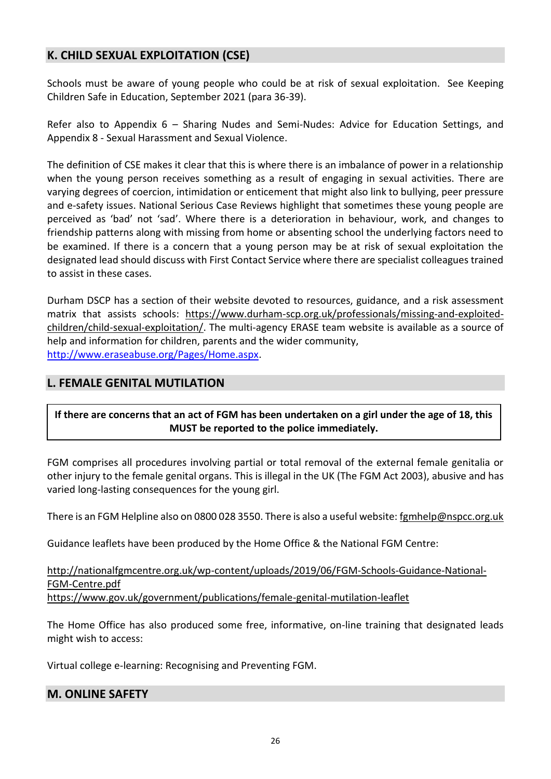# **K. CHILD SEXUAL EXPLOITATION (CSE)**

Schools must be aware of young people who could be at risk of sexual exploitation. See Keeping Children Safe in Education, September 2021 (para 36-39).

Refer also to Appendix 6 – Sharing Nudes and Semi-Nudes: Advice for Education Settings, and Appendix 8 - Sexual Harassment and Sexual Violence.

The definition of CSE makes it clear that this is where there is an imbalance of power in a relationship when the young person receives something as a result of engaging in sexual activities. There are varying degrees of coercion, intimidation or enticement that might also link to bullying, peer pressure and e-safety issues. National Serious Case Reviews highlight that sometimes these young people are perceived as 'bad' not 'sad'. Where there is a deterioration in behaviour, work, and changes to friendship patterns along with missing from home or absenting school the underlying factors need to be examined. If there is a concern that a young person may be at risk of sexual exploitation the designated lead should discuss with First Contact Service where there are specialist colleagues trained to assist in these cases.

Durham DSCP has a section of their website devoted to resources, guidance, and a risk assessment matrix that assists schools: [https://www.durham-scp.org.uk/professionals/missing-and-exploited](https://www.durham-scp.org.uk/professionals/missing-and-exploited-children/child-sexual-exploitation/)[children/child-sexual-exploitation/.](https://www.durham-scp.org.uk/professionals/missing-and-exploited-children/child-sexual-exploitation/) The multi-agency ERASE team website is available as a source of help and information for children, parents and the wider community, [http://www.eraseabuse.org/Pages/Home.aspx.](http://www.eraseabuse.org/Pages/Home.aspx)

# **L. FEMALE GENITAL MUTILATION**

#### **If there are concerns that an act of FGM has been undertaken on a girl under the age of 18, this MUST be reported to the police immediately.**

FGM comprises all procedures involving partial or total removal of the external female genitalia or other injury to the female genital organs. This is illegal in the UK (The FGM Act 2003), abusive and has varied long-lasting consequences for the young girl.

There is an FGM Helpline also on 0800 028 3550. There is also a useful website: famhelp@nspcc.org.uk

Guidance leaflets have been produced by the Home Office & the National FGM Centre:

#### [http://nationalfgmcentre.org.uk/wp-content/uploads/2019/06/FGM-Schools-Guidance-National-](http://nationalfgmcentre.org.uk/wp-content/uploads/2019/06/FGM-Schools-Guidance-National-FGM-Centre.pdf)[FGM-Centre.pdf](http://nationalfgmcentre.org.uk/wp-content/uploads/2019/06/FGM-Schools-Guidance-National-FGM-Centre.pdf) [https://www.gov.uk/government/publications/female-genital-mutilation-leaflet](http://briefing.safeguardinginschools.co.uk/lt.php?s=c08dd3322ee433f9daa71867532506b1&i=73A99A5A617)

The Home Office has also produced some free, informative, on-line training that designated leads might wish to access:

Virtual college e-learning: Recognising and Preventing FGM.

#### **M. ONLINE SAFETY**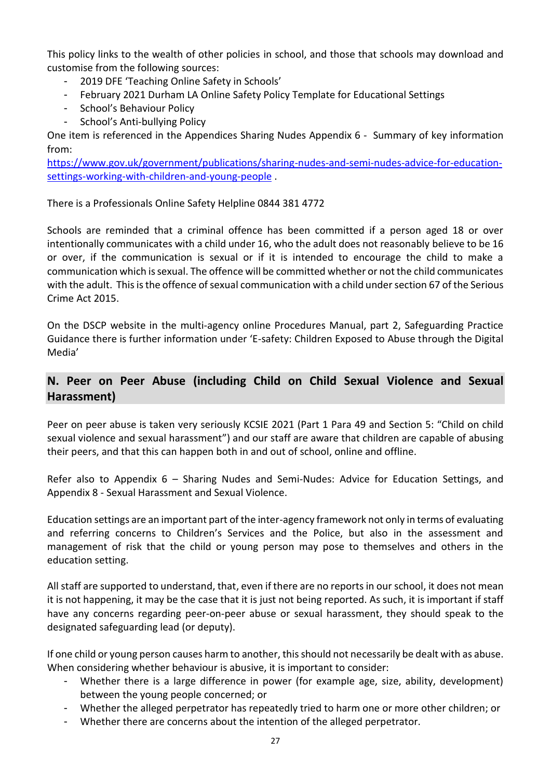This policy links to the wealth of other policies in school, and those that schools may download and customise from the following sources:

- 2019 DFE 'Teaching Online Safety in Schools'
- February 2021 Durham LA Online Safety Policy Template for Educational Settings
- School's Behaviour Policy
- School's Anti-bullying Policy

One item is referenced in the Appendices Sharing Nudes Appendix 6 - Summary of key information from:

[https://www.gov.uk/government/publications/sharing-nudes-and-semi-nudes-advice-for-education](https://www.gov.uk/government/publications/sharing-nudes-and-semi-nudes-advice-for-education-settings-working-with-children-and-young-people)[settings-working-with-children-and-young-people](https://www.gov.uk/government/publications/sharing-nudes-and-semi-nudes-advice-for-education-settings-working-with-children-and-young-people) .

There is a Professionals Online Safety Helpline 0844 381 4772

Schools are reminded that a criminal offence has been committed if a person aged 18 or over intentionally communicates with a child under 16, who the adult does not reasonably believe to be 16 or over, if the communication is sexual or if it is intended to encourage the child to make a communication which is sexual. The offence will be committed whether or not the child communicates with the adult. This is the offence of sexual communication with a child under section 67 of the Serious Crime Act 2015.

On the DSCP website in the multi-agency online Procedures Manual, part 2, Safeguarding Practice Guidance there is further information under 'E-safety: Children Exposed to Abuse through the Digital Media'

# **N. Peer on Peer Abuse (including Child on Child Sexual Violence and Sexual Harassment)**

Peer on peer abuse is taken very seriously KCSIE 2021 (Part 1 Para 49 and Section 5: "Child on child sexual violence and sexual harassment") and our staff are aware that children are capable of abusing their peers, and that this can happen both in and out of school, online and offline.

Refer also to Appendix 6 – Sharing Nudes and Semi-Nudes: Advice for Education Settings, and Appendix 8 - Sexual Harassment and Sexual Violence.

Education settings are an important part of the inter-agency framework not only in terms of evaluating and referring concerns to Children's Services and the Police, but also in the assessment and management of risk that the child or young person may pose to themselves and others in the education setting.

All staff are supported to understand, that, even if there are no reports in our school, it does not mean it is not happening, it may be the case that it is just not being reported. As such, it is important if staff have any concerns regarding peer-on-peer abuse or sexual harassment, they should speak to the designated safeguarding lead (or deputy).

If one child or young person causes harm to another, this should not necessarily be dealt with as abuse. When considering whether behaviour is abusive, it is important to consider:

- Whether there is a large difference in power (for example age, size, ability, development) between the young people concerned; or
- Whether the alleged perpetrator has repeatedly tried to harm one or more other children; or
- Whether there are concerns about the intention of the alleged perpetrator.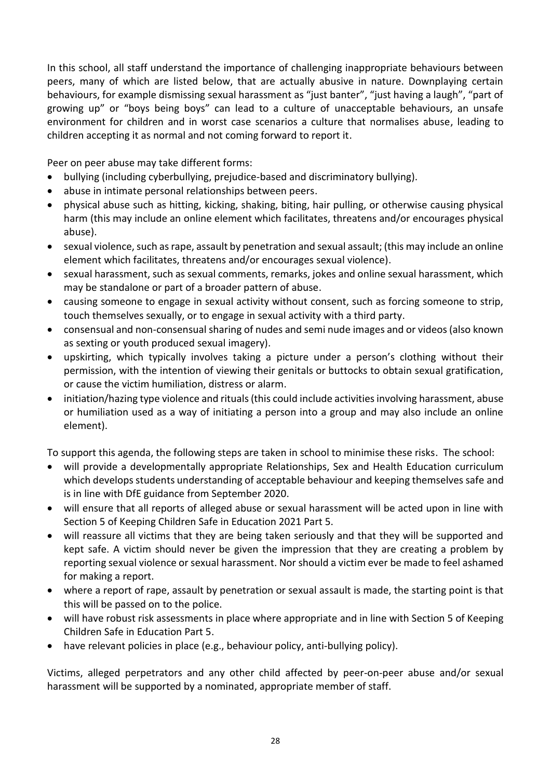In this school, all staff understand the importance of challenging inappropriate behaviours between peers, many of which are listed below, that are actually abusive in nature. Downplaying certain behaviours, for example dismissing sexual harassment as "just banter", "just having a laugh", "part of growing up" or "boys being boys" can lead to a culture of unacceptable behaviours, an unsafe environment for children and in worst case scenarios a culture that normalises abuse, leading to children accepting it as normal and not coming forward to report it.

Peer on peer abuse may take different forms:

- bullying (including cyberbullying, prejudice-based and discriminatory bullying).
- abuse in intimate personal relationships between peers.
- physical abuse such as hitting, kicking, shaking, biting, hair pulling, or otherwise causing physical harm (this may include an online element which facilitates, threatens and/or encourages physical abuse).
- sexual violence, such as rape, assault by penetration and sexual assault; (this may include an online element which facilitates, threatens and/or encourages sexual violence).
- sexual harassment, such as sexual comments, remarks, jokes and online sexual harassment, which may be standalone or part of a broader pattern of abuse.
- causing someone to engage in sexual activity without consent, such as forcing someone to strip, touch themselves sexually, or to engage in sexual activity with a third party.
- consensual and non-consensual sharing of nudes and semi nude images and or videos (also known as sexting or youth produced sexual imagery).
- upskirting, which typically involves taking a picture under a person's clothing without their permission, with the intention of viewing their genitals or buttocks to obtain sexual gratification, or cause the victim humiliation, distress or alarm.
- initiation/hazing type violence and rituals (this could include activities involving harassment, abuse or humiliation used as a way of initiating a person into a group and may also include an online element).

To support this agenda, the following steps are taken in school to minimise these risks. The school:

- will provide a developmentally appropriate Relationships, Sex and Health Education curriculum which develops students understanding of acceptable behaviour and keeping themselves safe and is in line with DfE guidance from September 2020.
- will ensure that all reports of alleged abuse or sexual harassment will be acted upon in line with Section 5 of Keeping Children Safe in Education 2021 Part 5.
- will reassure all victims that they are being taken seriously and that they will be supported and kept safe. A victim should never be given the impression that they are creating a problem by reporting sexual violence or sexual harassment. Nor should a victim ever be made to feel ashamed for making a report.
- where a report of rape, assault by penetration or sexual assault is made, the starting point is that this will be passed on to the police.
- will have robust risk assessments in place where appropriate and in line with Section 5 of Keeping Children Safe in Education Part 5.
- have relevant policies in place (e.g., behaviour policy, anti-bullying policy).

Victims, alleged perpetrators and any other child affected by peer-on-peer abuse and/or sexual harassment will be supported by a nominated, appropriate member of staff.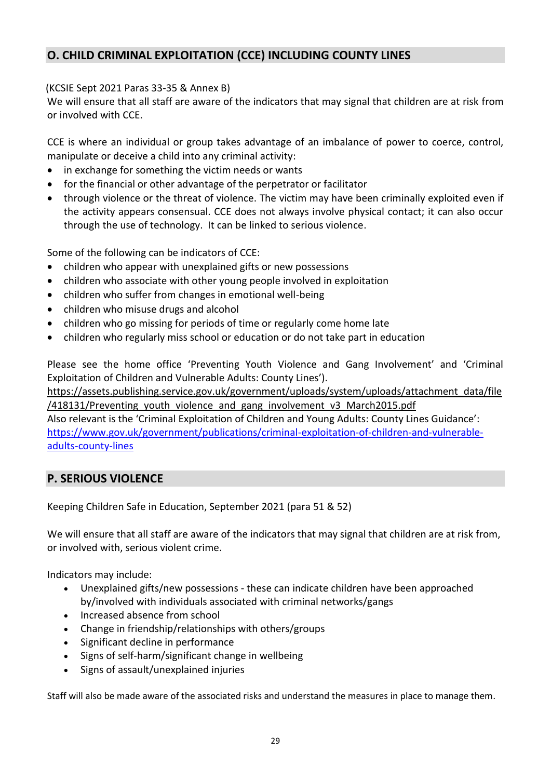# **O. CHILD CRIMINAL EXPLOITATION (CCE) INCLUDING COUNTY LINES**

#### (KCSIE Sept 2021 Paras 33-35 & Annex B)

We will ensure that all staff are aware of the indicators that may signal that children are at risk from or involved with CCE.

CCE is where an individual or group takes advantage of an imbalance of power to coerce, control, manipulate or deceive a child into any criminal activity:

- in exchange for something the victim needs or wants
- for the financial or other advantage of the perpetrator or facilitator
- through violence or the threat of violence. The victim may have been criminally exploited even if the activity appears consensual. CCE does not always involve physical contact; it can also occur through the use of technology. It can be linked to serious violence.

Some of the following can be indicators of CCE:

- children who appear with unexplained gifts or new possessions
- children who associate with other young people involved in exploitation
- children who suffer from changes in emotional well-being
- children who misuse drugs and alcohol
- children who go missing for periods of time or regularly come home late
- children who regularly miss school or education or do not take part in education

Please see the home office 'Preventing Youth Violence and Gang Involvement' and 'Criminal Exploitation of Children and Vulnerable Adults: County Lines').

[https://assets.publishing.service.gov.uk/government/uploads/system/uploads/attachment\\_data/file](https://assets.publishing.service.gov.uk/government/uploads/system/uploads/attachment_data/file/418131/Preventing_youth_violence_and_gang_involvement_v3_March2015.pdf) /418131/Preventing youth violence and gang involvement v3 March2015.pdf

Also relevant is the 'Criminal Exploitation of Children and Young Adults: County Lines Guidance': [https://www.gov.uk/government/publications/criminal-exploitation-of-children-and-vulnerable](https://www.gov.uk/government/publications/criminal-exploitation-of-children-and-vulnerable-adults-county-lines)[adults-county-lines](https://www.gov.uk/government/publications/criminal-exploitation-of-children-and-vulnerable-adults-county-lines)

# **P. SERIOUS VIOLENCE**

Keeping Children Safe in Education, September 2021 (para 51 & 52)

We will ensure that all staff are aware of the indicators that may signal that children are at risk from, or involved with, serious violent crime.

Indicators may include:

- Unexplained gifts/new possessions these can indicate children have been approached by/involved with individuals associated with criminal networks/gangs
- Increased absence from school
- Change in friendship/relationships with others/groups
- Significant decline in performance
- Signs of self-harm/significant change in wellbeing
- Signs of assault/unexplained injuries

Staff will also be made aware of the associated risks and understand the measures in place to manage them.